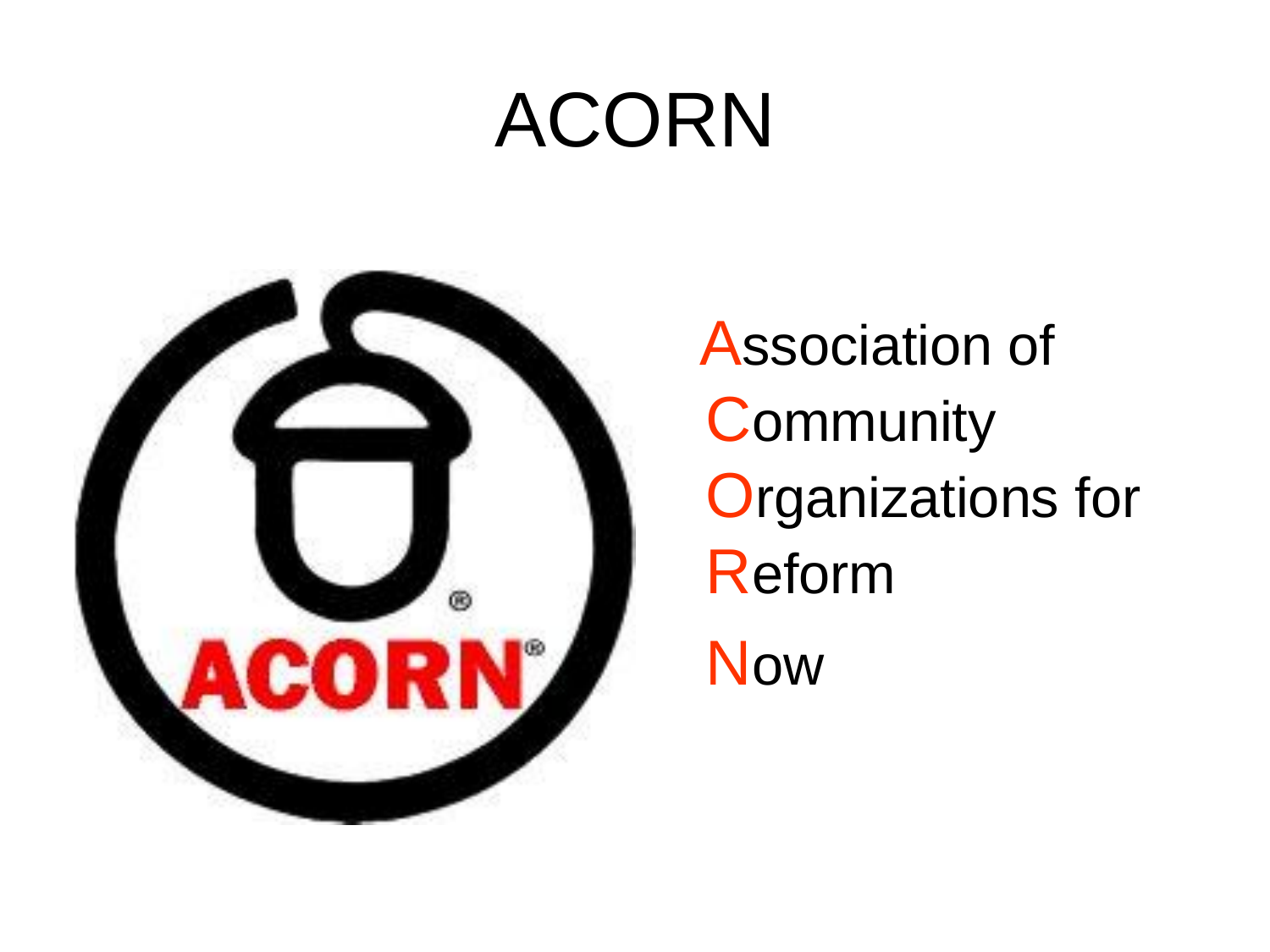### ACORN



Association of **Community Organizations for** Reform **Now**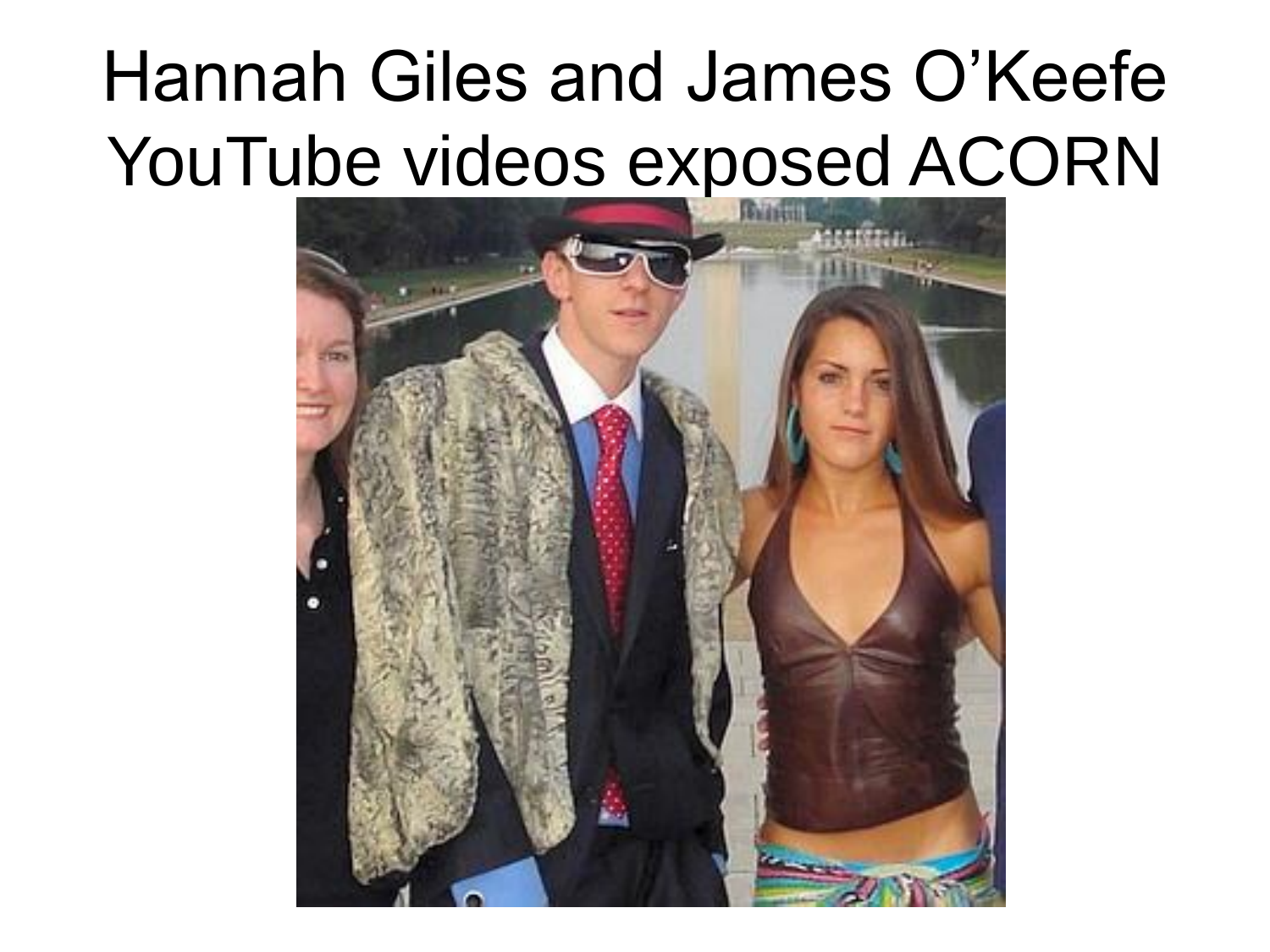### Hannah Giles and James O'Keefe YouTube videos exposed ACORN

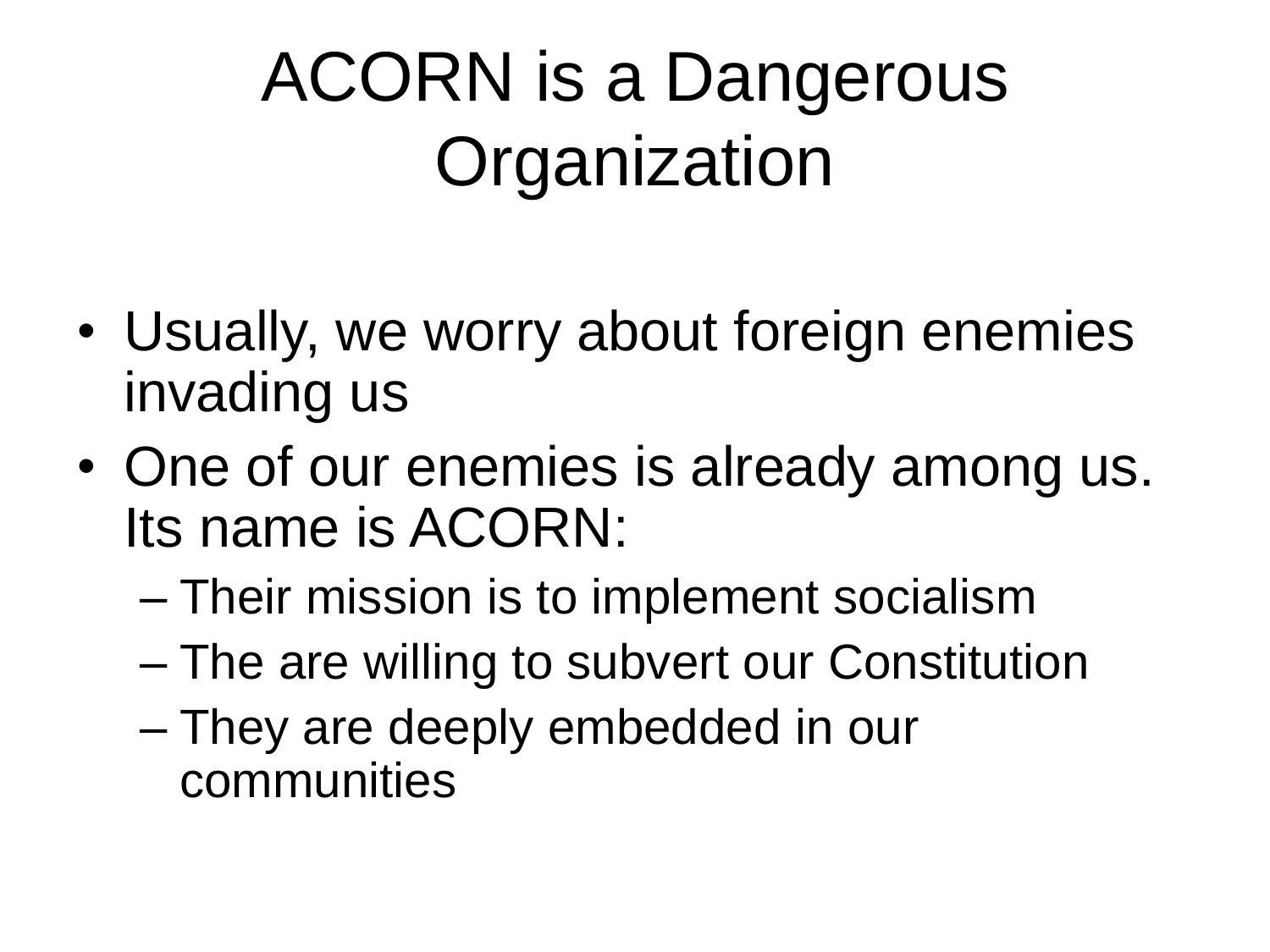### ACORN is a Dangerous **Organization**

- Usually, we worry about foreign enemies invading us
- One of our enemies is already among us. Its name is ACORN:
	- Their mission is to implement socialism
	- The are willing to subvert our Constitution
	- They are deeply embedded in our communities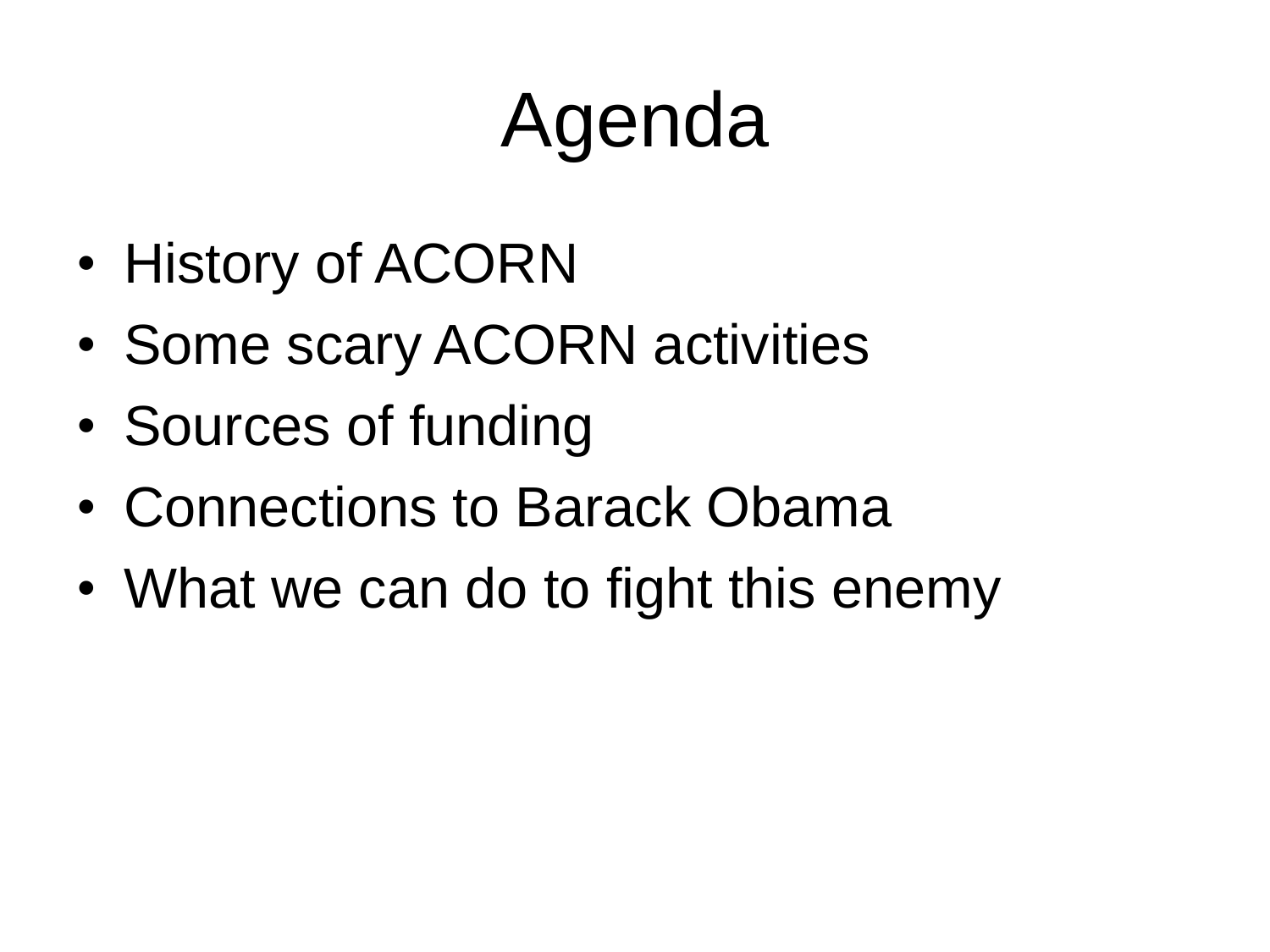# Agenda

- History of ACORN
- Some scary ACORN activities
- Sources of funding
- Connections to Barack Obama
- What we can do to fight this enemy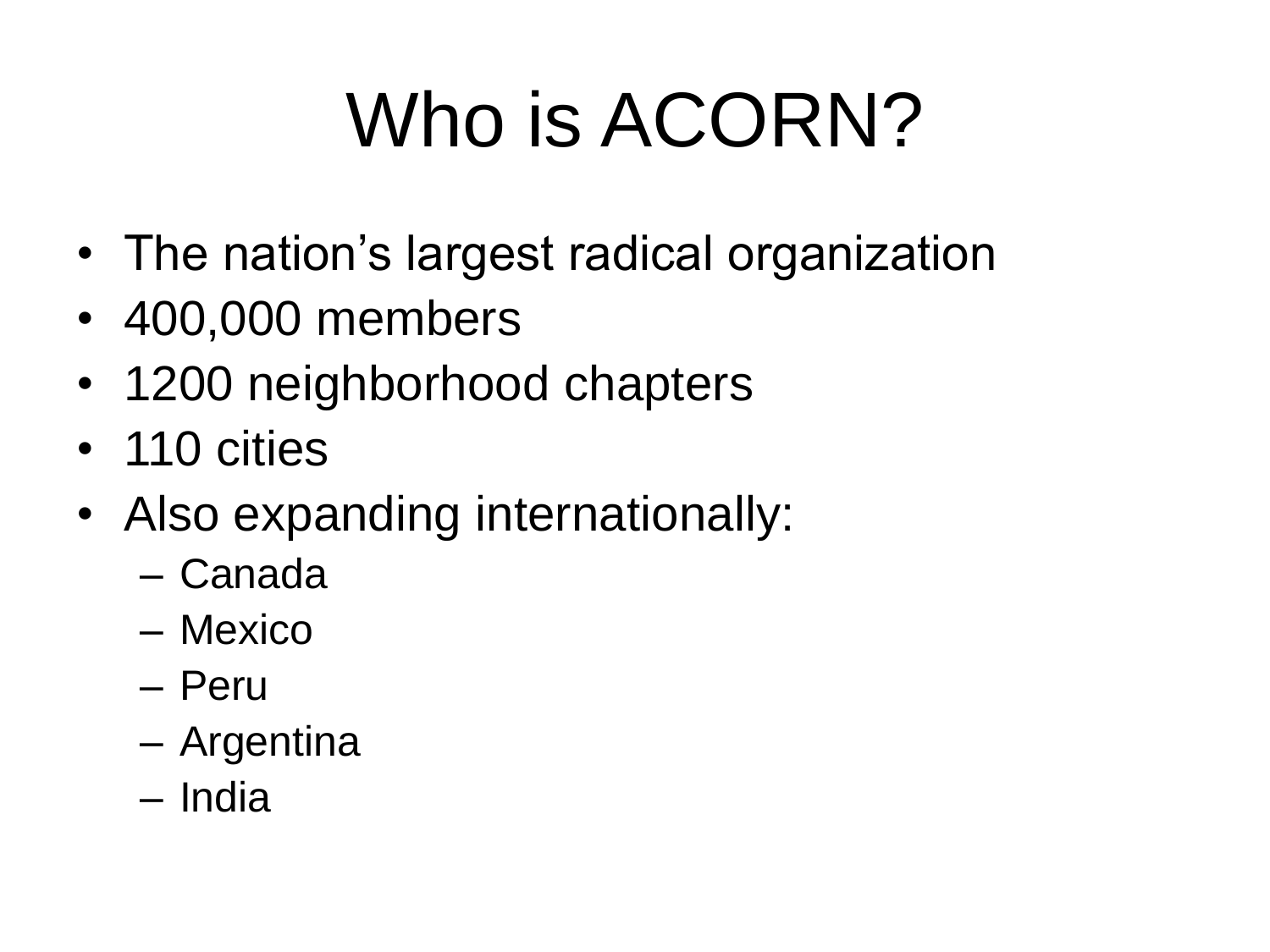# Who is ACORN?

- The nation's largest radical organization
- 400,000 members
- 1200 neighborhood chapters
- 110 cities
- Also expanding internationally:
	- Canada
	- Mexico
	- Peru
	- Argentina
	- India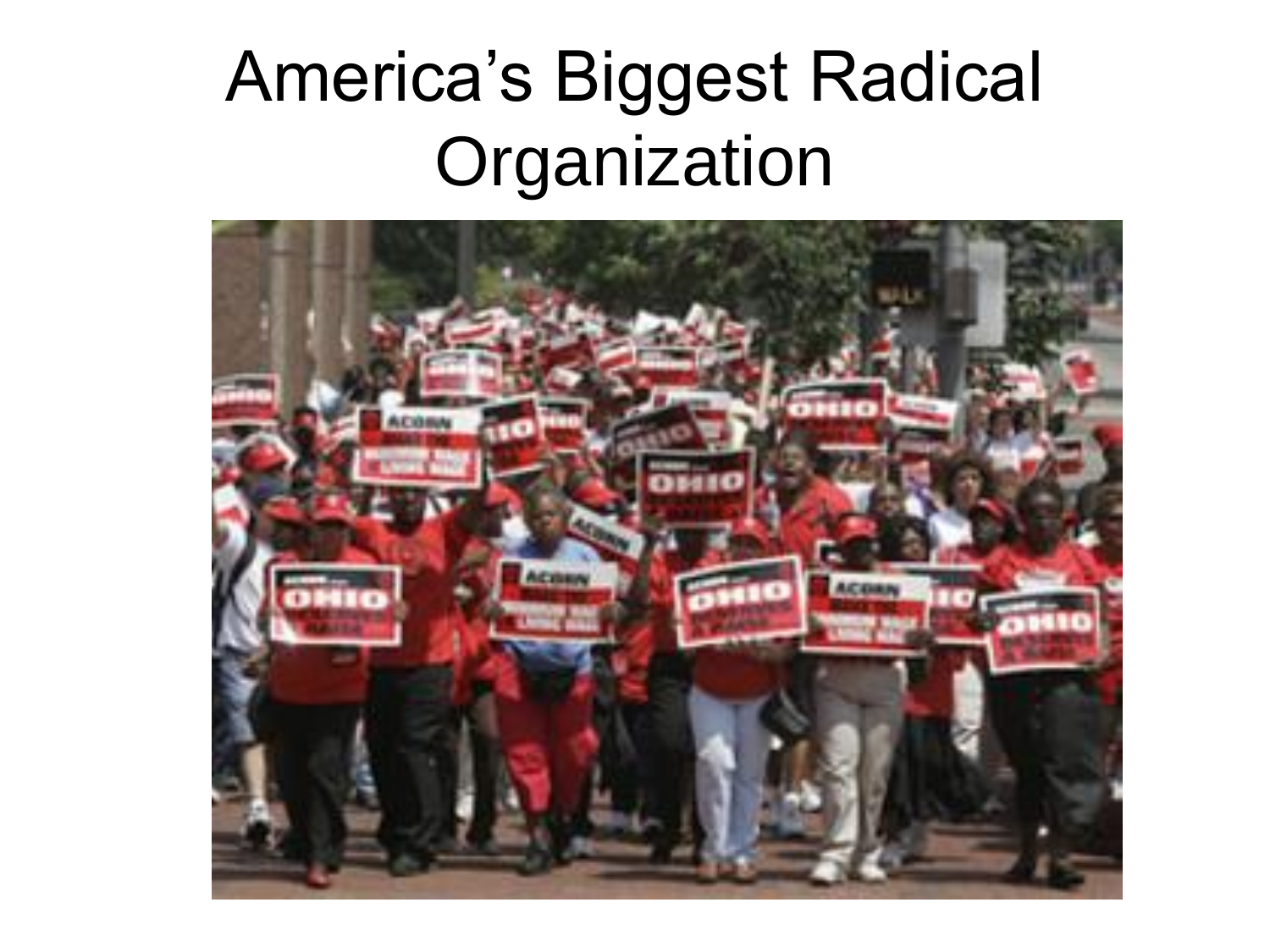#### America's Biggest Radical **Organization**

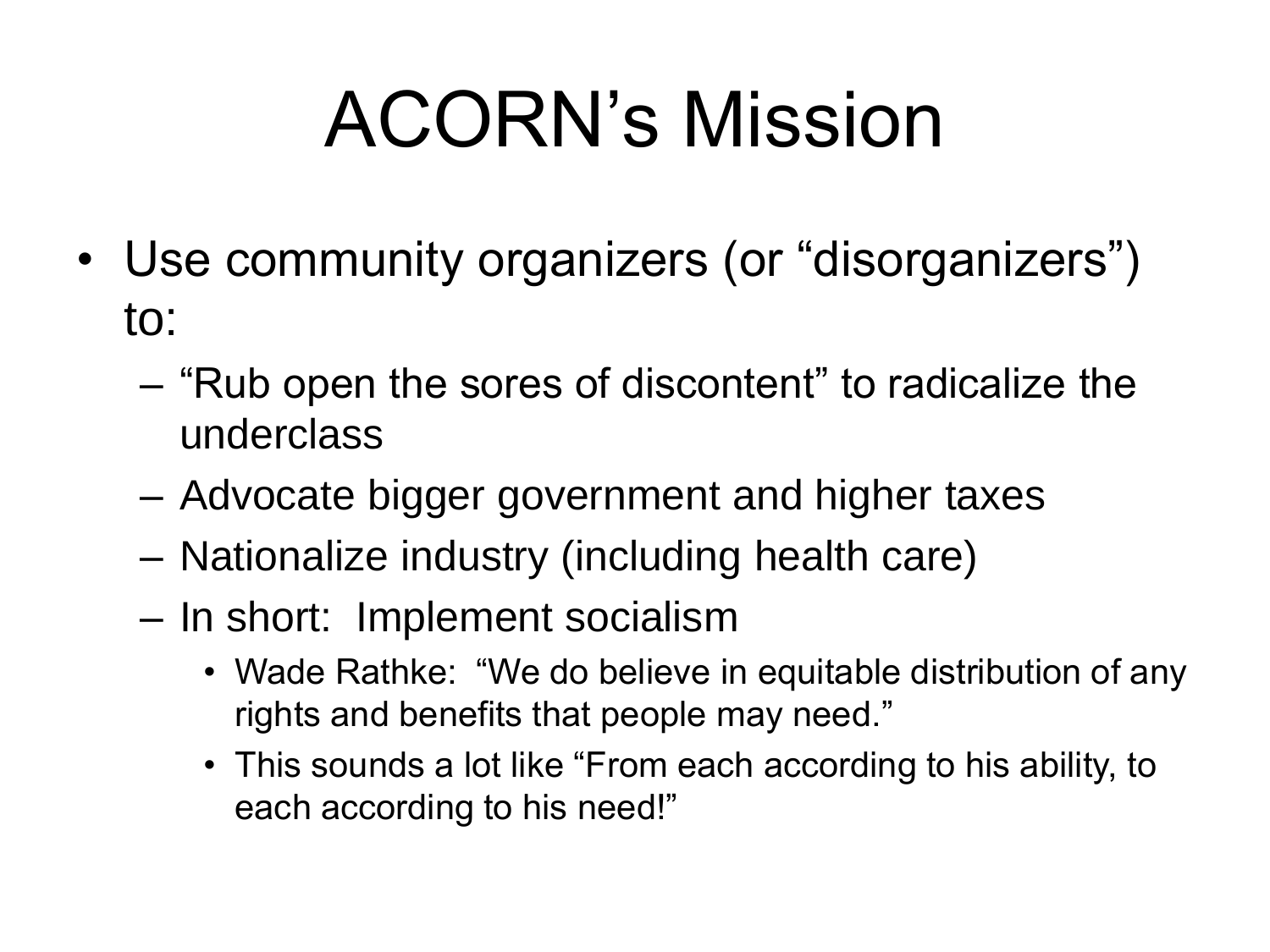# ACORN's Mission

- Use community organizers (or "disorganizers") to:
	- "Rub open the sores of discontent" to radicalize the underclass
	- Advocate bigger government and higher taxes
	- Nationalize industry (including health care)
	- In short: Implement socialism
		- Wade Rathke: "We do believe in equitable distribution of any rights and benefits that people may need."
		- This sounds a lot like "From each according to his ability, to each according to his need!"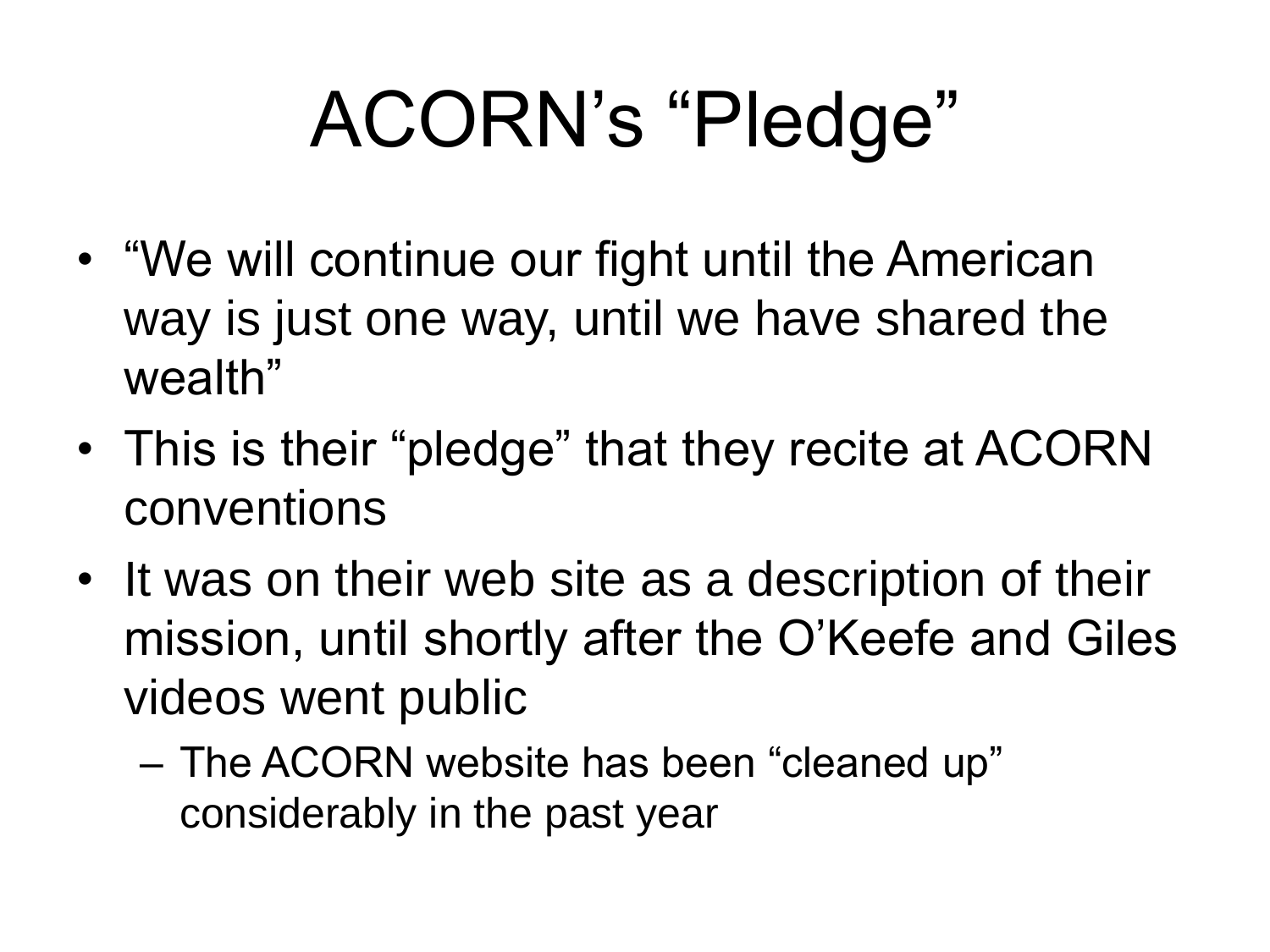# ACORN's "Pledge"

- "We will continue our fight until the American way is just one way, until we have shared the wealth"
- This is their "pledge" that they recite at ACORN conventions
- It was on their web site as a description of their mission, until shortly after the O'Keefe and Giles videos went public
	- The ACORN website has been "cleaned up" considerably in the past year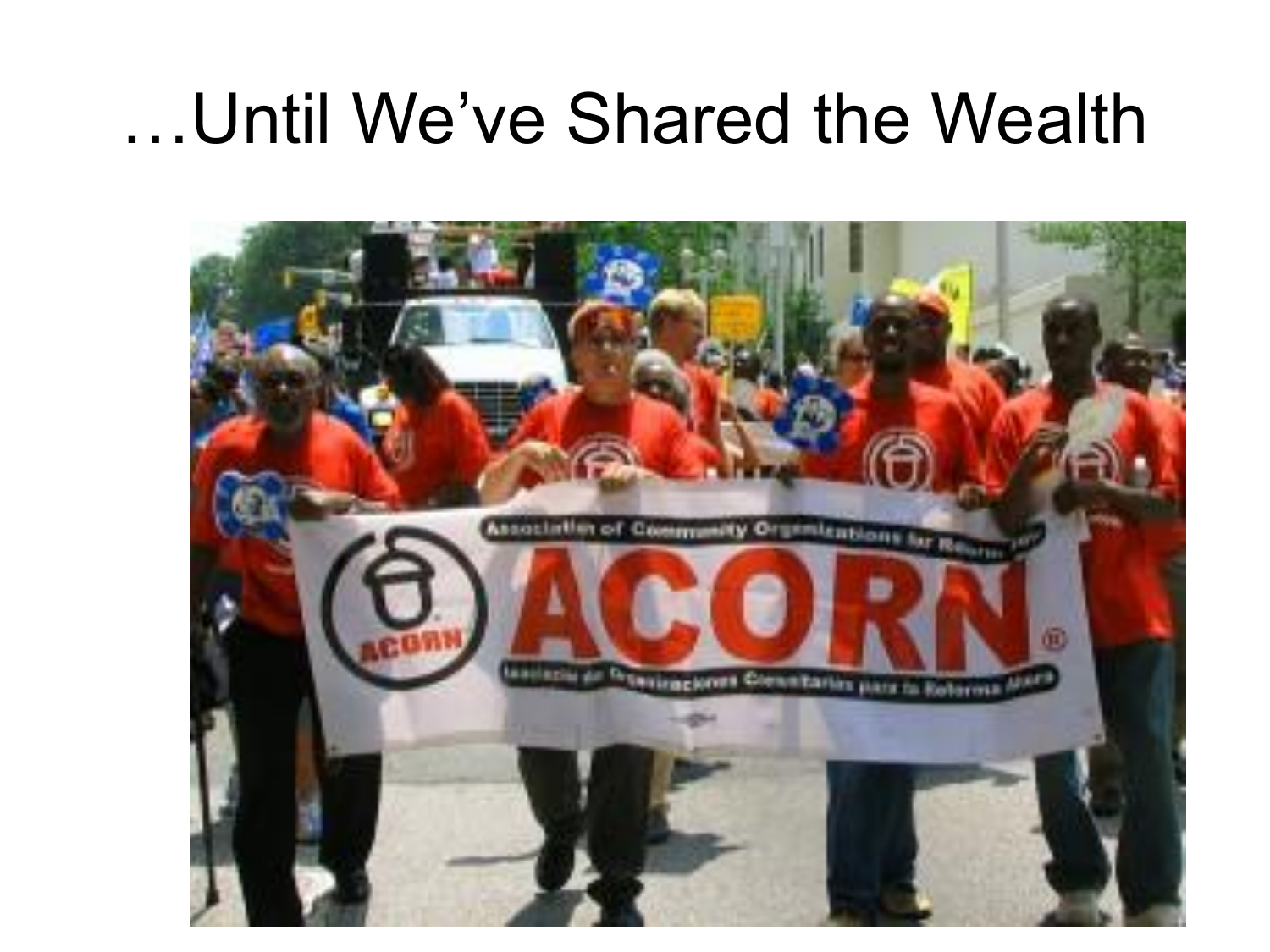#### …Until We've Shared the Wealth

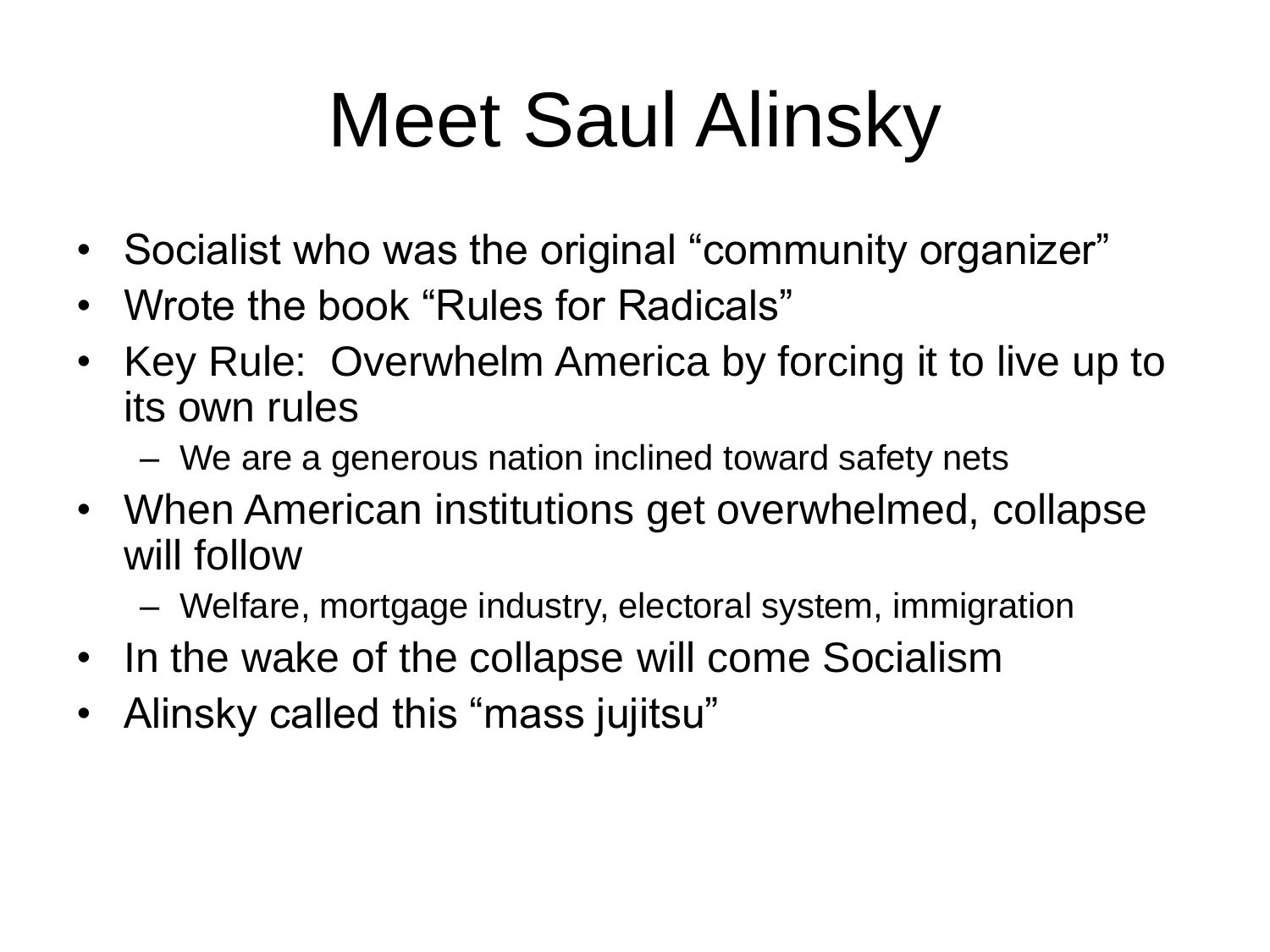# Meet Saul Alinsky

- Socialist who was the original "community organizer"
- Wrote the book "Rules for Radicals"
- Key Rule: Overwhelm America by forcing it to live up to its own rules
	- We are a generous nation inclined toward safety nets
- When American institutions get overwhelmed, collapse will follow
	- Welfare, mortgage industry, electoral system, immigration
- In the wake of the collapse will come Socialism
- Alinsky called this "mass jujitsu"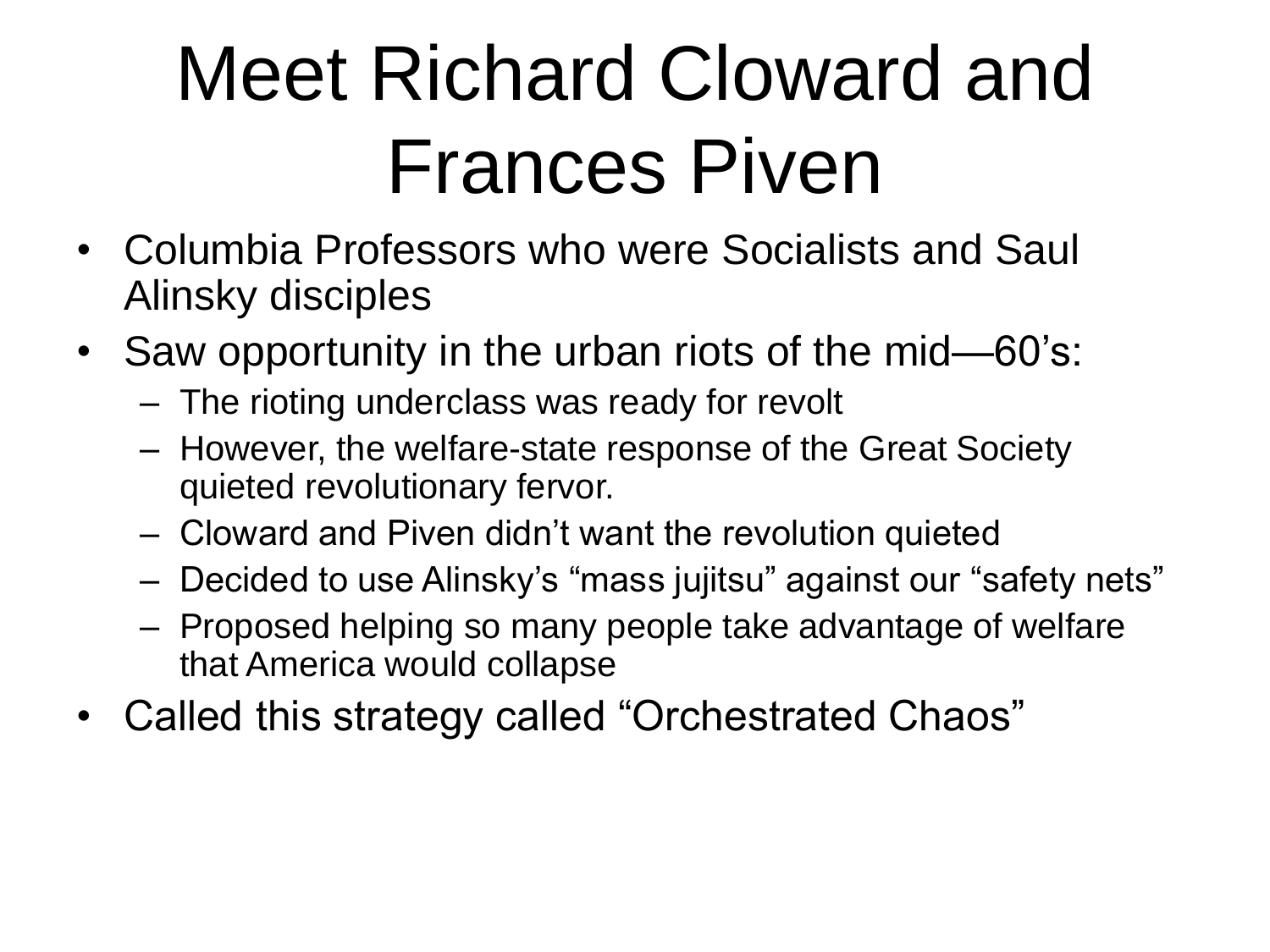# Meet Richard Cloward and Frances Piven

- Columbia Professors who were Socialists and Saul Alinsky disciples
- Saw opportunity in the urban riots of the mid—60's:
	- The rioting underclass was ready for revolt
	- However, the welfare-state response of the Great Society quieted revolutionary fervor.
	- Cloward and Piven didn't want the revolution quieted
	- Decided to use Alinsky's "mass jujitsu" against our "safety nets"
	- Proposed helping so many people take advantage of welfare that America would collapse
- Called this strategy called "Orchestrated Chaos"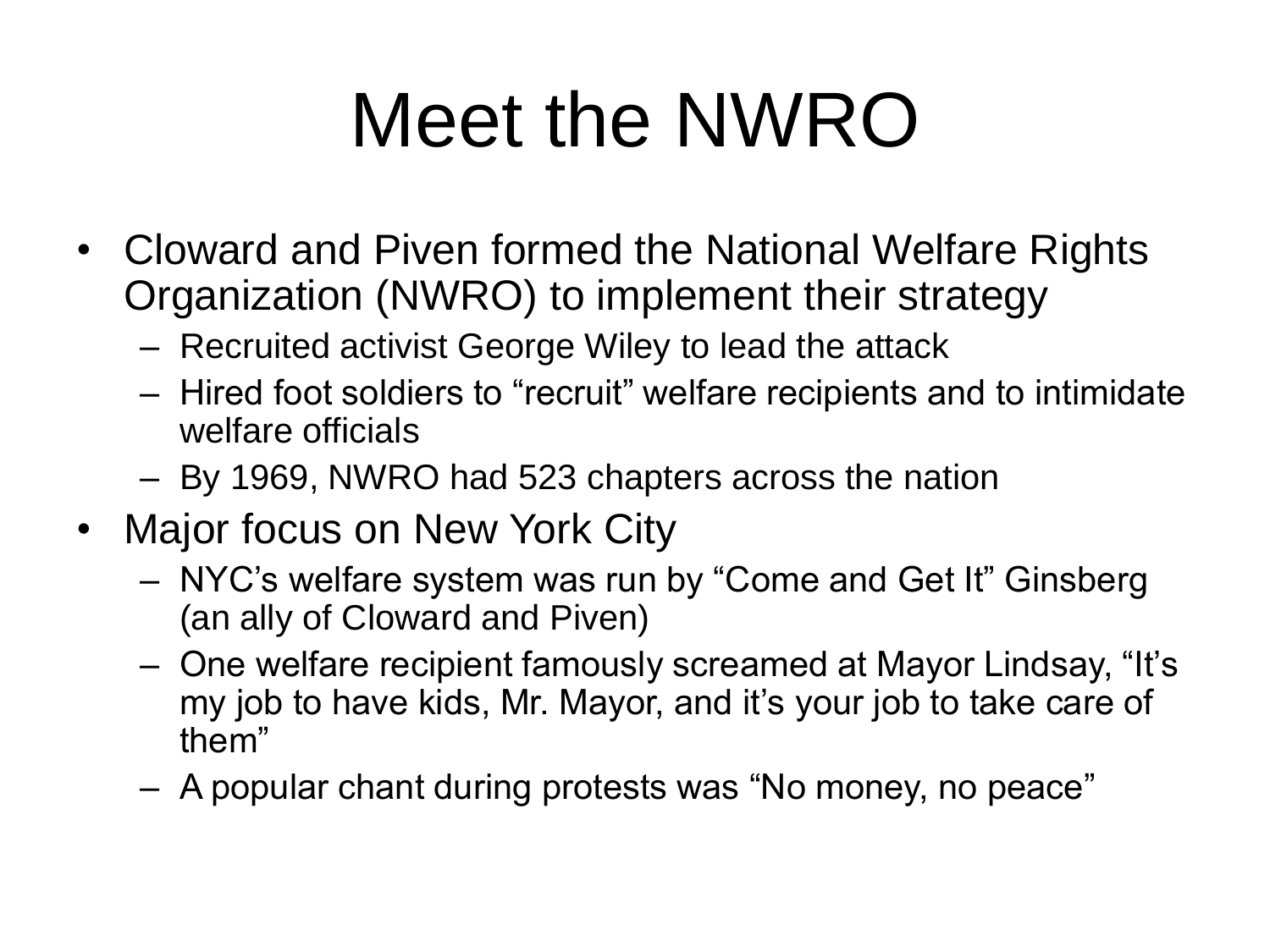## Meet the NWRO

- Cloward and Piven formed the National Welfare Rights Organization (NWRO) to implement their strategy
	- Recruited activist George Wiley to lead the attack
	- Hired foot soldiers to "recruit" welfare recipients and to intimidate welfare officials
	- By 1969, NWRO had 523 chapters across the nation
- Major focus on New York City
	- NYC's welfare system was run by "Come and Get It" Ginsberg (an ally of Cloward and Piven)
	- One welfare recipient famously screamed at Mayor Lindsay, "It's my job to have kids, Mr. Mayor, and it's your job to take care of them"
	- A popular chant during protests was "No money, no peace"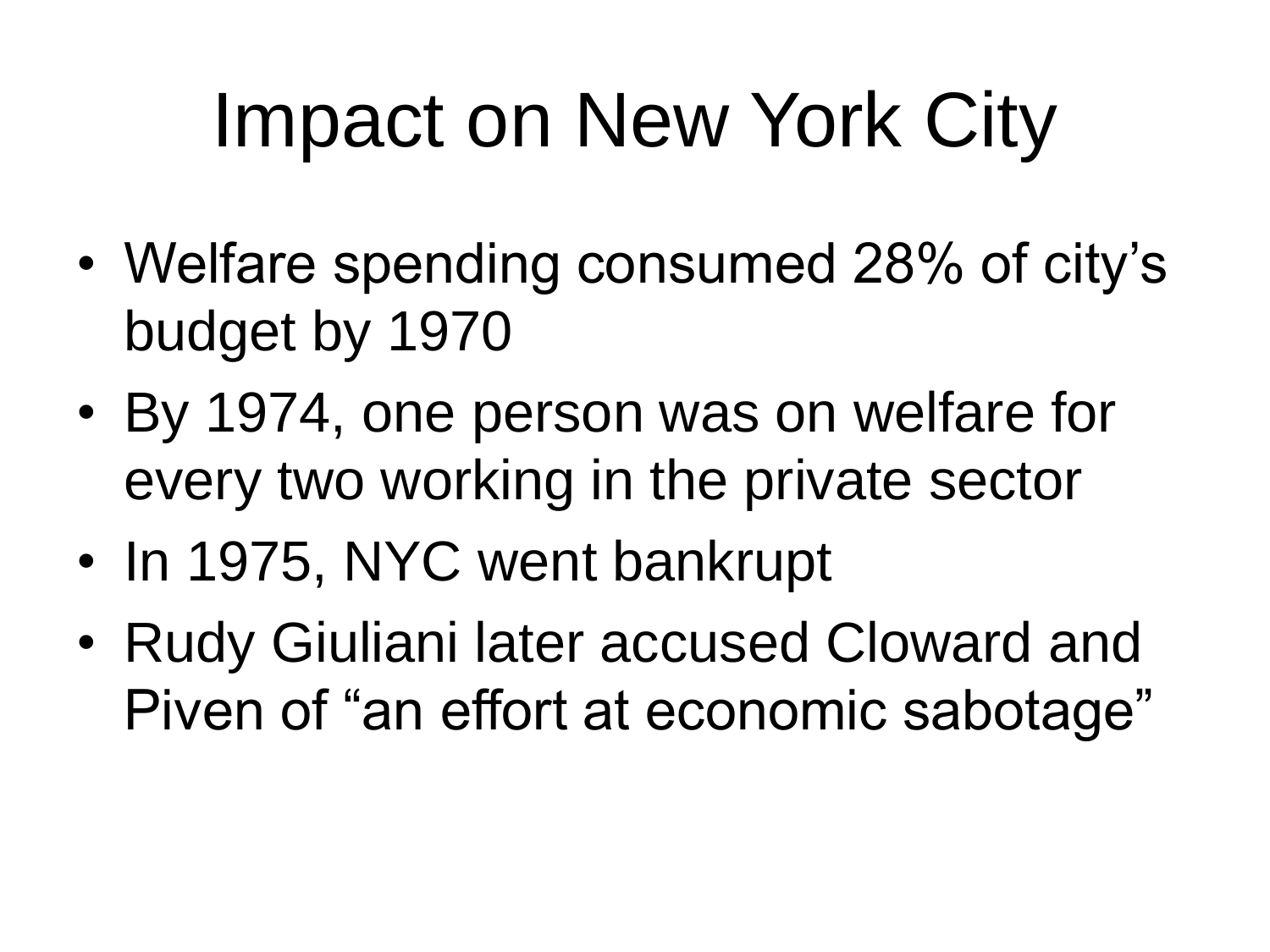### Impact on New York City

- Welfare spending consumed 28% of city's budget by 1970
- By 1974, one person was on welfare for every two working in the private sector
- In 1975, NYC went bankrupt
- Rudy Giuliani later accused Cloward and Piven of "an effort at economic sabotage"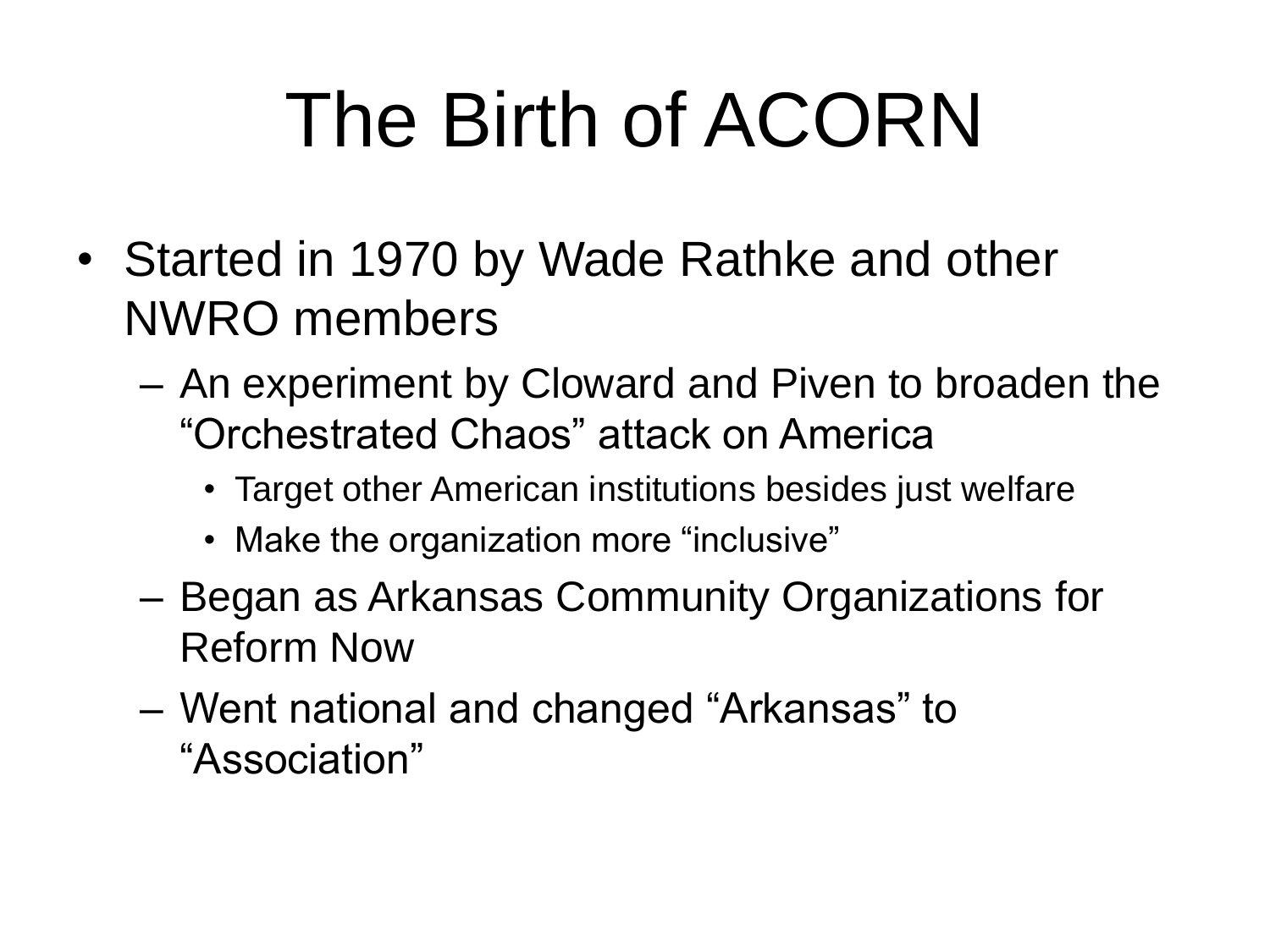# The Birth of ACORN

- Started in 1970 by Wade Rathke and other NWRO members
	- An experiment by Cloward and Piven to broaden the "Orchestrated Chaos" attack on America
		- Target other American institutions besides just welfare
		- Make the organization more "inclusive"
	- Began as Arkansas Community Organizations for Reform Now
	- Went national and changed "Arkansas" to "Association"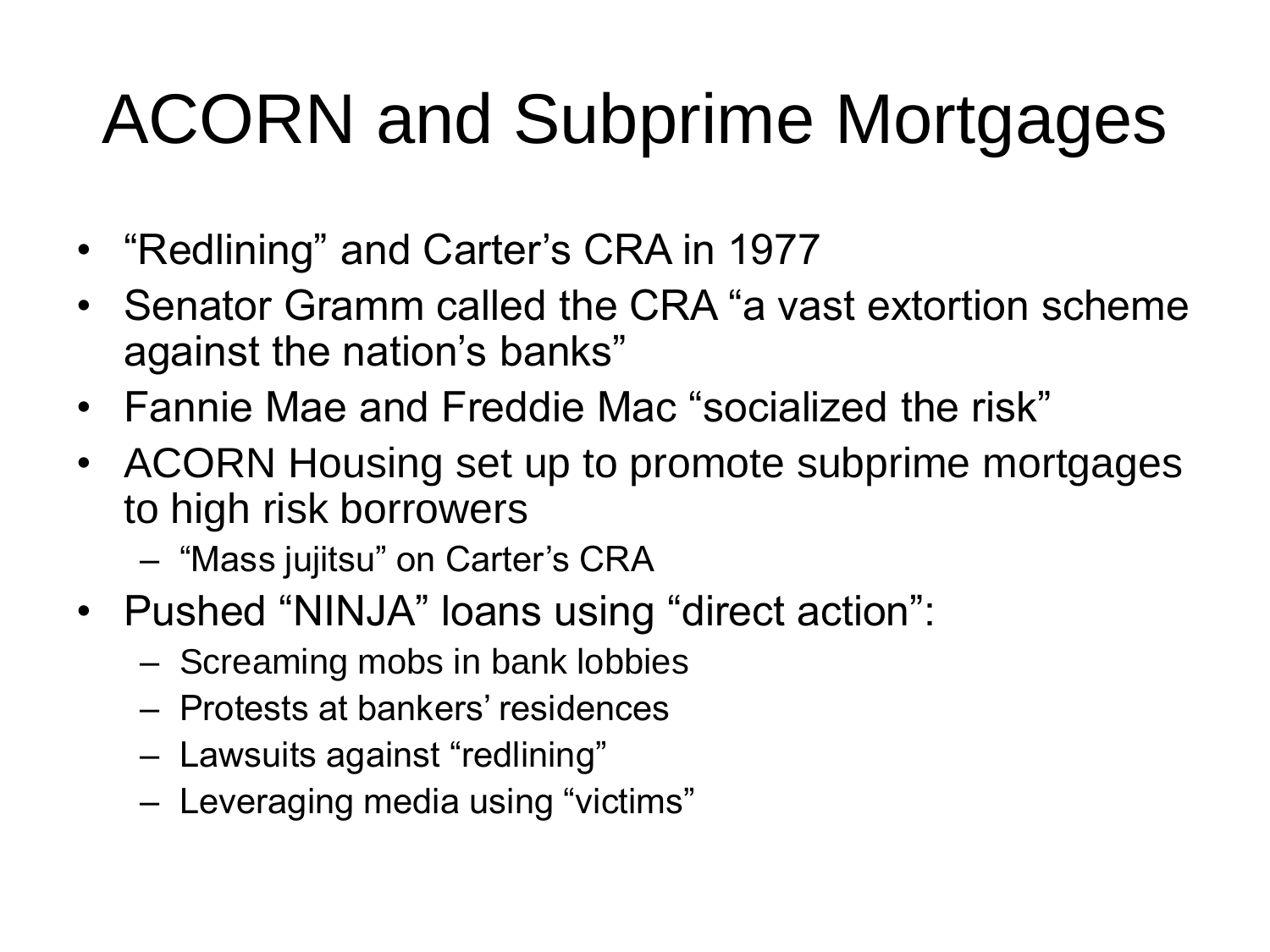### ACORN and Subprime Mortgages

- "Redlining" and Carter's CRA in 1977
- Senator Gramm called the CRA "a vast extortion scheme against the nation's banks"
- Fannie Mae and Freddie Mac "socialized the risk"
- ACORN Housing set up to promote subprime mortgages to high risk borrowers
	- "Mass jujitsu" on Carter's CRA
- Pushed "NINJA" loans using "direct action":
	- Screaming mobs in bank lobbies
	- Protests at bankers' residences
	- Lawsuits against "redlining"
	- Leveraging media using "victims"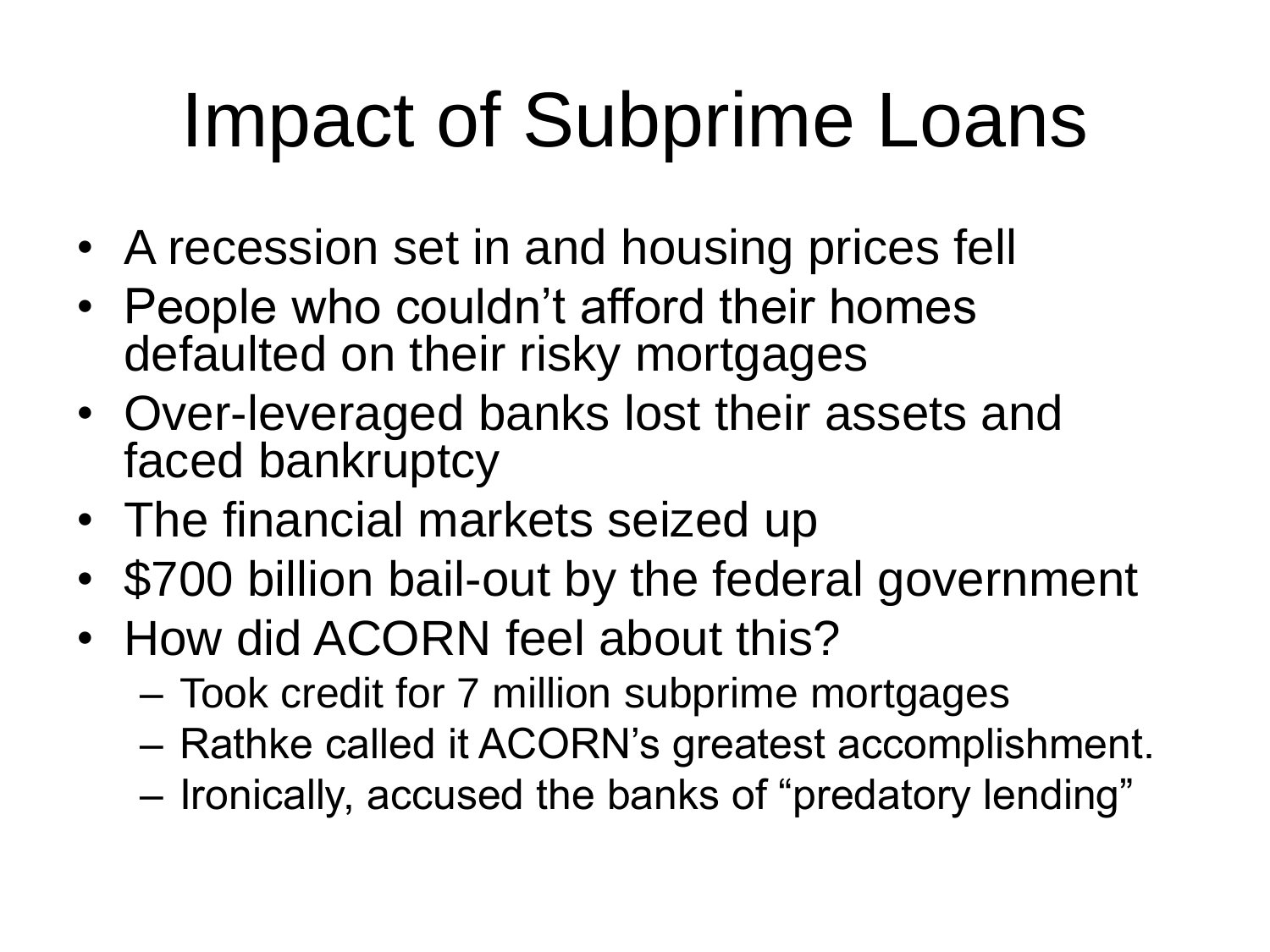### Impact of Subprime Loans

- A recession set in and housing prices fell
- People who couldn't afford their homes defaulted on their risky mortgages
- Over-leveraged banks lost their assets and faced bankruptcy
- The financial markets seized up
- \$700 billion bail-out by the federal government
- How did ACORN feel about this?
	- Took credit for 7 million subprime mortgages
	- Rathke called it ACORN's greatest accomplishment.
	- Ironically, accused the banks of "predatory lending"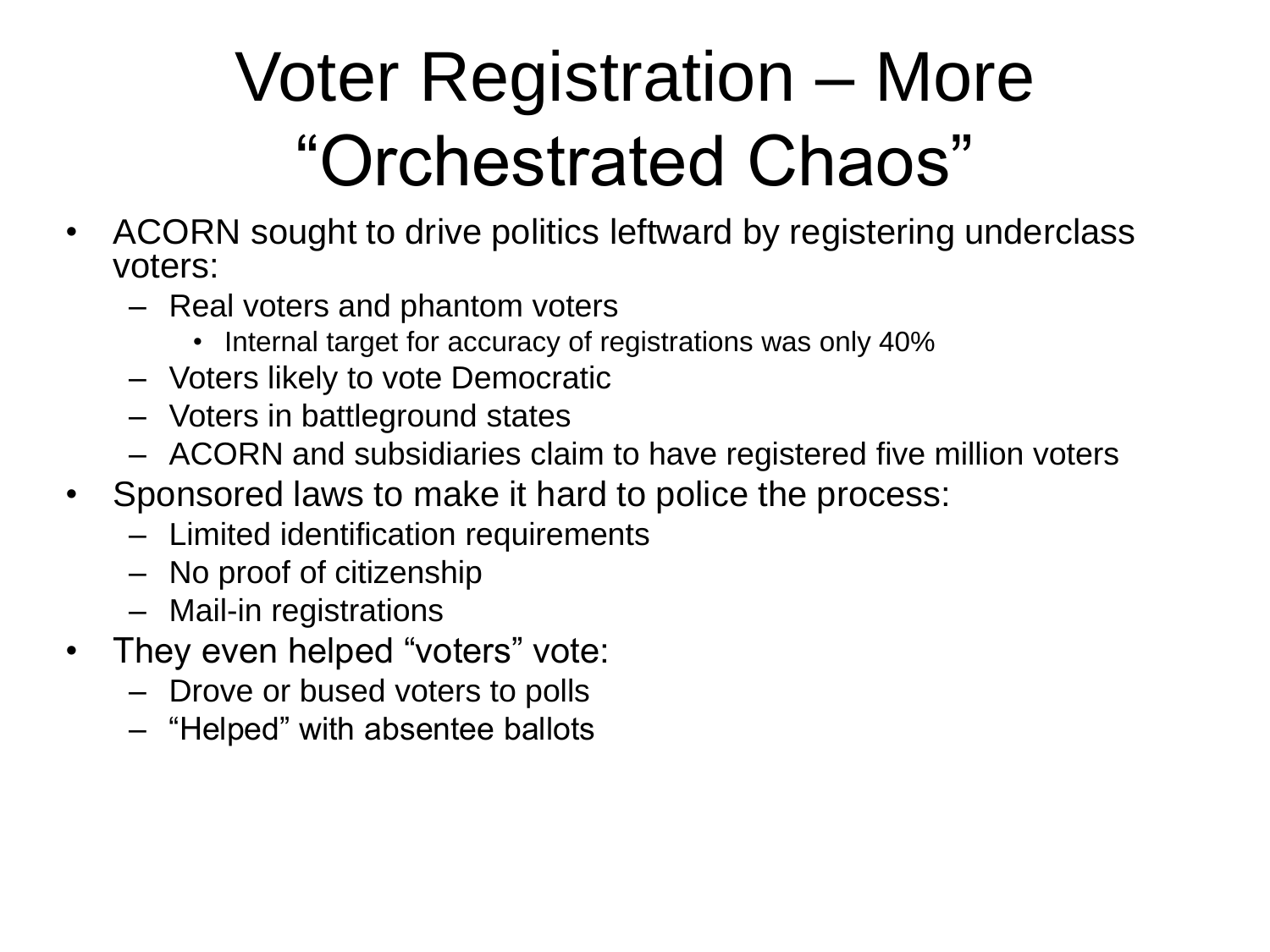### Voter Registration – More "Orchestrated Chaos"

- ACORN sought to drive politics leftward by registering underclass voters:
	- Real voters and phantom voters
		- Internal target for accuracy of registrations was only 40%
	- Voters likely to vote Democratic
	- Voters in battleground states
	- ACORN and subsidiaries claim to have registered five million voters
- Sponsored laws to make it hard to police the process:
	- Limited identification requirements
	- No proof of citizenship
	- Mail-in registrations
- They even helped "voters" vote:
	- Drove or bused voters to polls
	- "Helped" with absentee ballots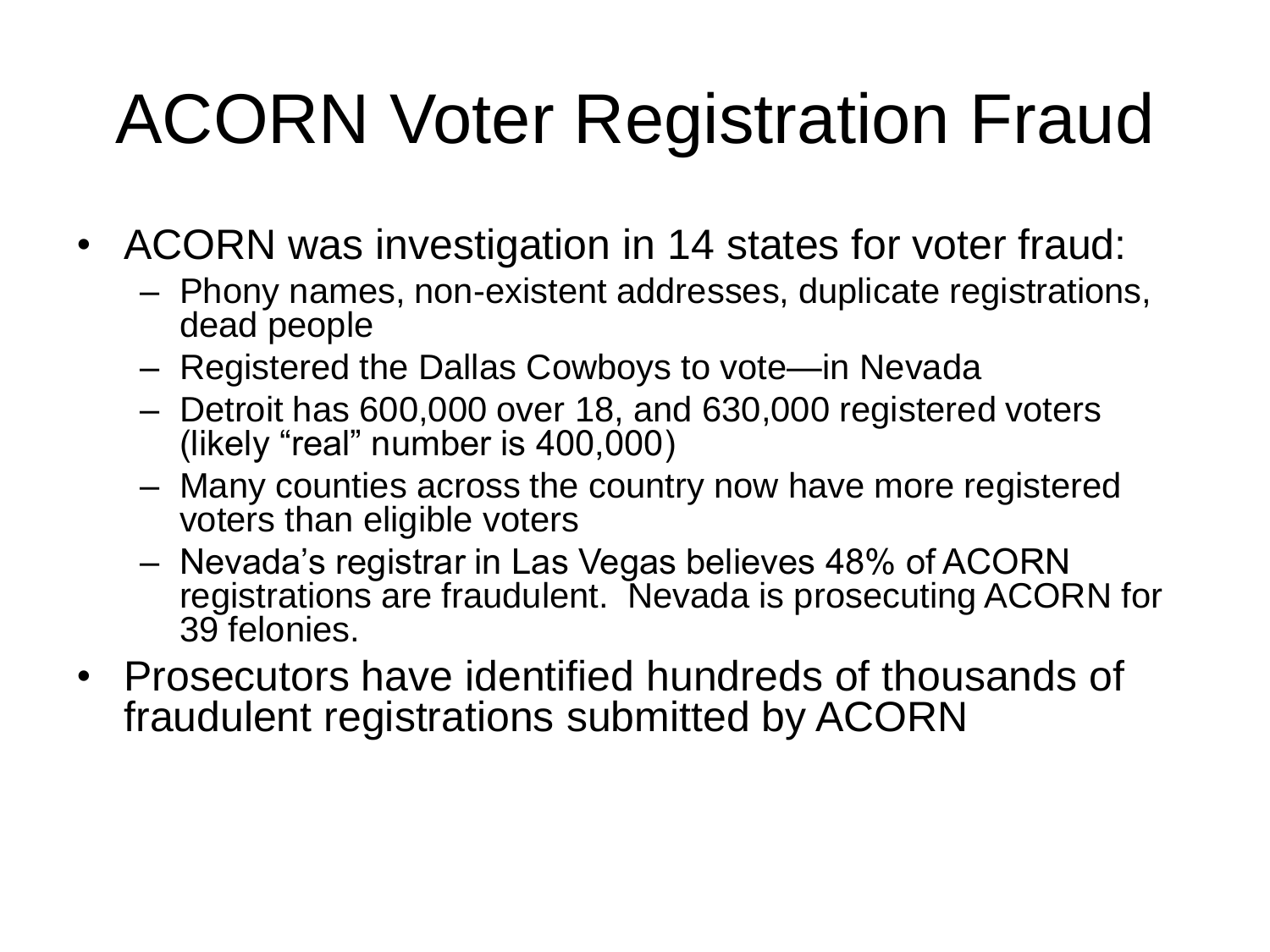### ACORN Voter Registration Fraud

- ACORN was investigation in 14 states for voter fraud:
	- Phony names, non-existent addresses, duplicate registrations, dead people
	- Registered the Dallas Cowboys to vote—in Nevada
	- Detroit has 600,000 over 18, and 630,000 registered voters (likely "real" number is 400,000)
	- Many counties across the country now have more registered voters than eligible voters
	- Nevada's registrar in Las Vegas believes 48% of ACORN registrations are fraudulent. Nevada is prosecuting ACORN for 39 felonies.
- Prosecutors have identified hundreds of thousands of fraudulent registrations submitted by ACORN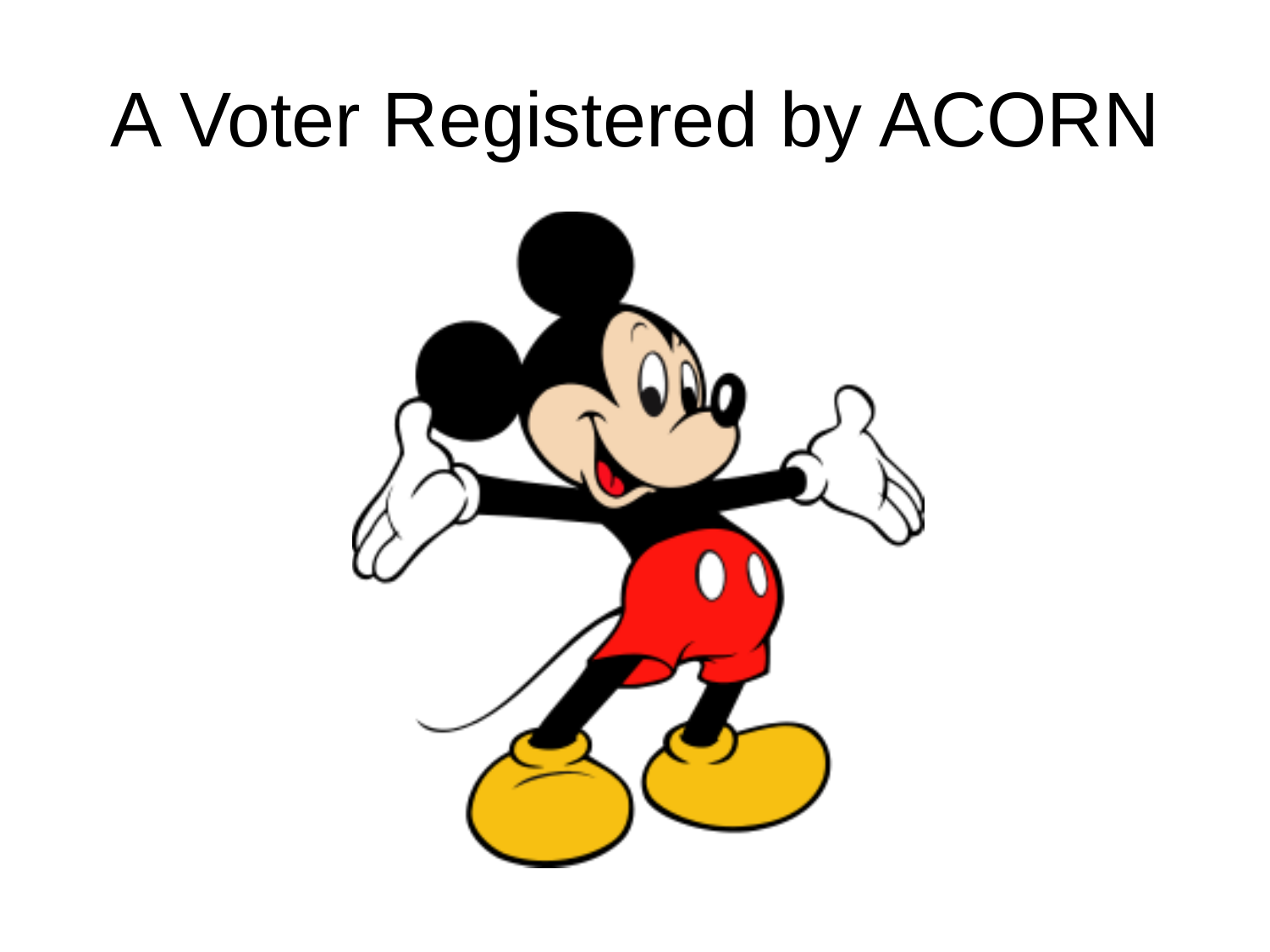### A Voter Registered by ACORN

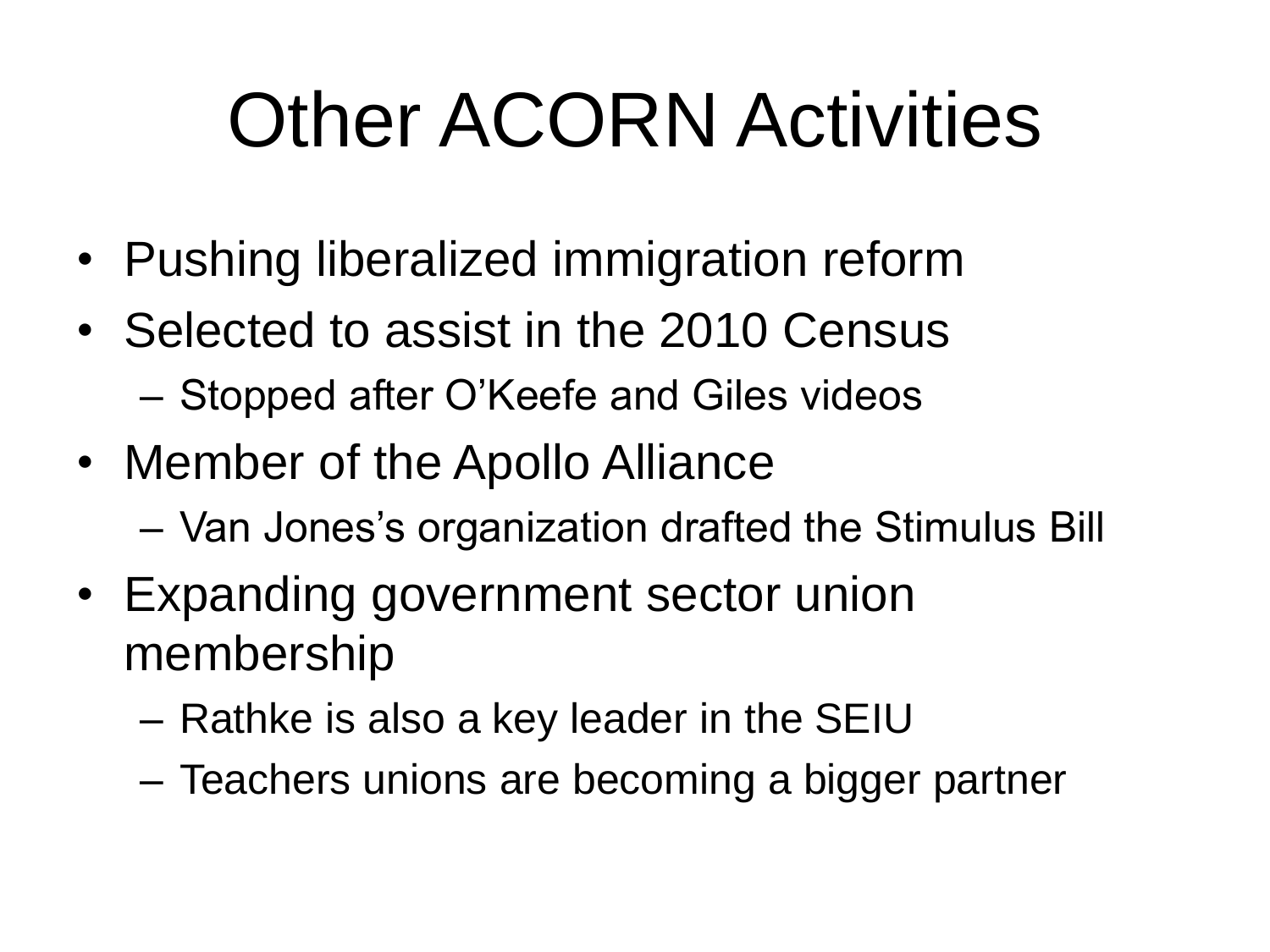### Other ACORN Activities

- Pushing liberalized immigration reform
- Selected to assist in the 2010 Census – Stopped after O'Keefe and Giles videos
- Member of the Apollo Alliance
	- Van Jones's organization drafted the Stimulus Bill
- Expanding government sector union membership
	- Rathke is also a key leader in the SEIU
	- Teachers unions are becoming a bigger partner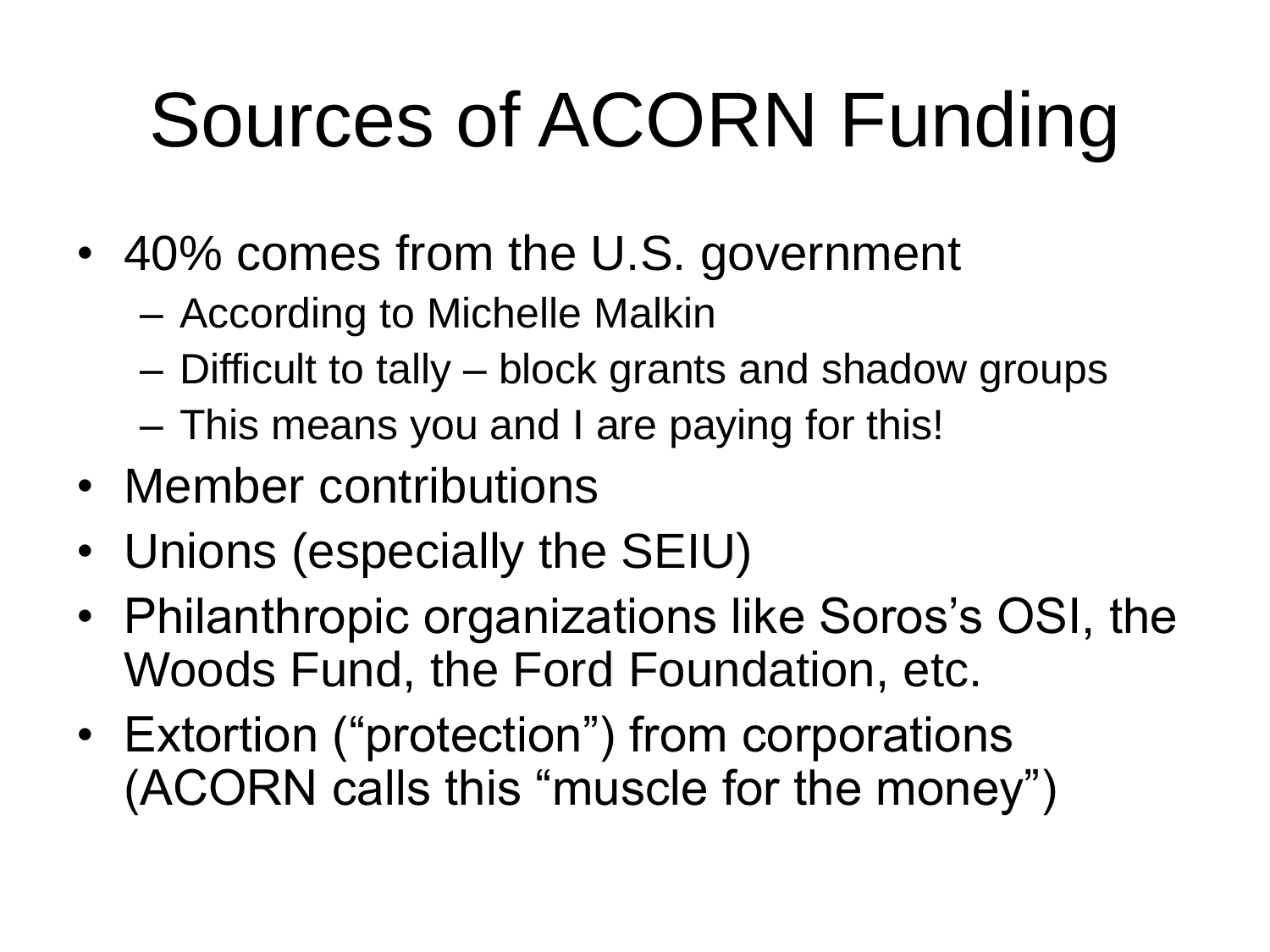# Sources of ACORN Funding

- 40% comes from the U.S. government
	- According to Michelle Malkin
	- Difficult to tally block grants and shadow groups
	- This means you and I are paying for this!
- Member contributions
- Unions (especially the SEIU)
- Philanthropic organizations like Soros's OSI, the Woods Fund, the Ford Foundation, etc.
- Extortion ("protection") from corporations (ACORN calls this "muscle for the money")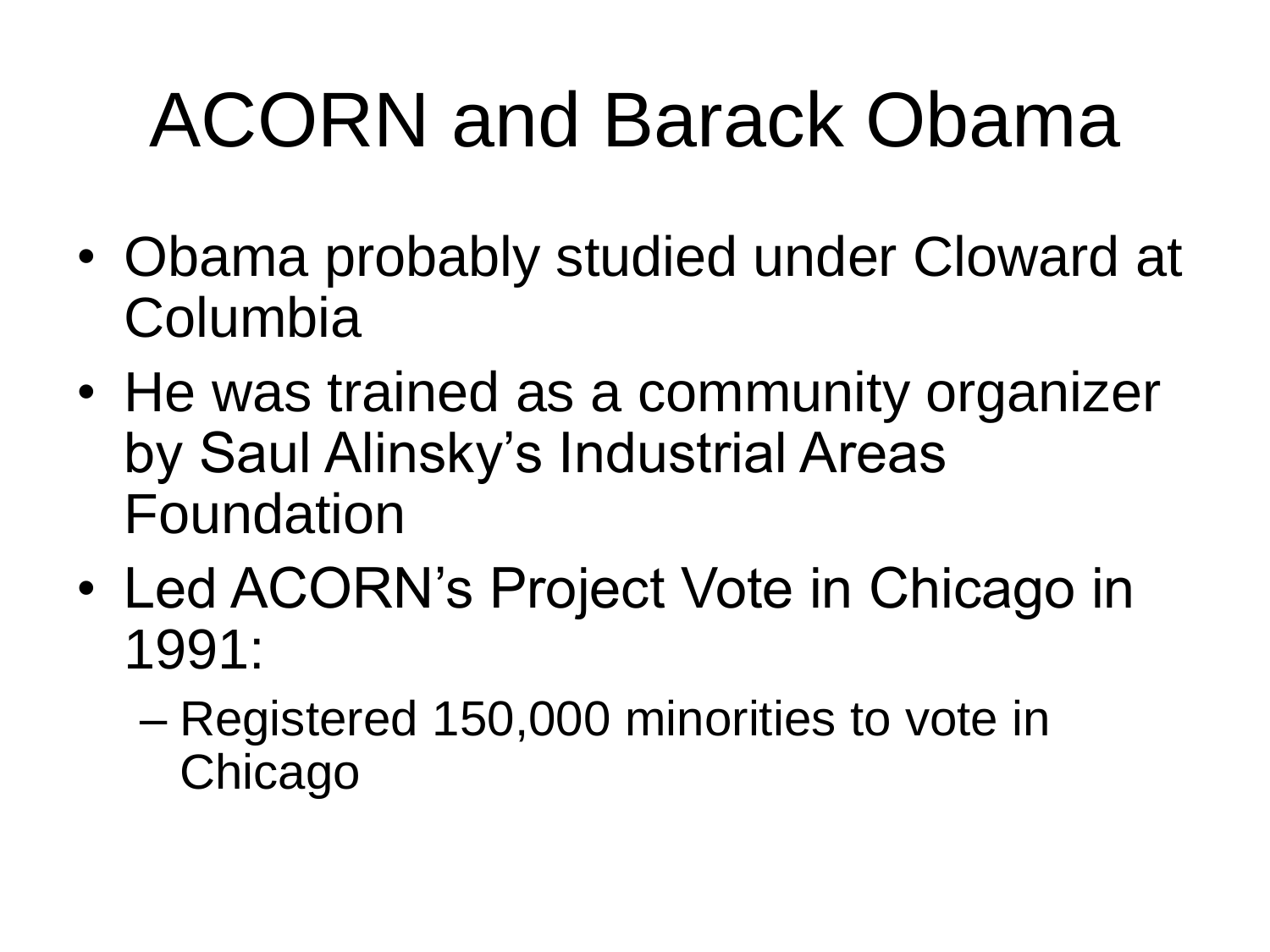- Obama probably studied under Cloward at Columbia
- He was trained as a community organizer by Saul Alinsky's Industrial Areas Foundation
- Led ACORN's Project Vote in Chicago in 1991:
	- Registered 150,000 minorities to vote in **Chicago**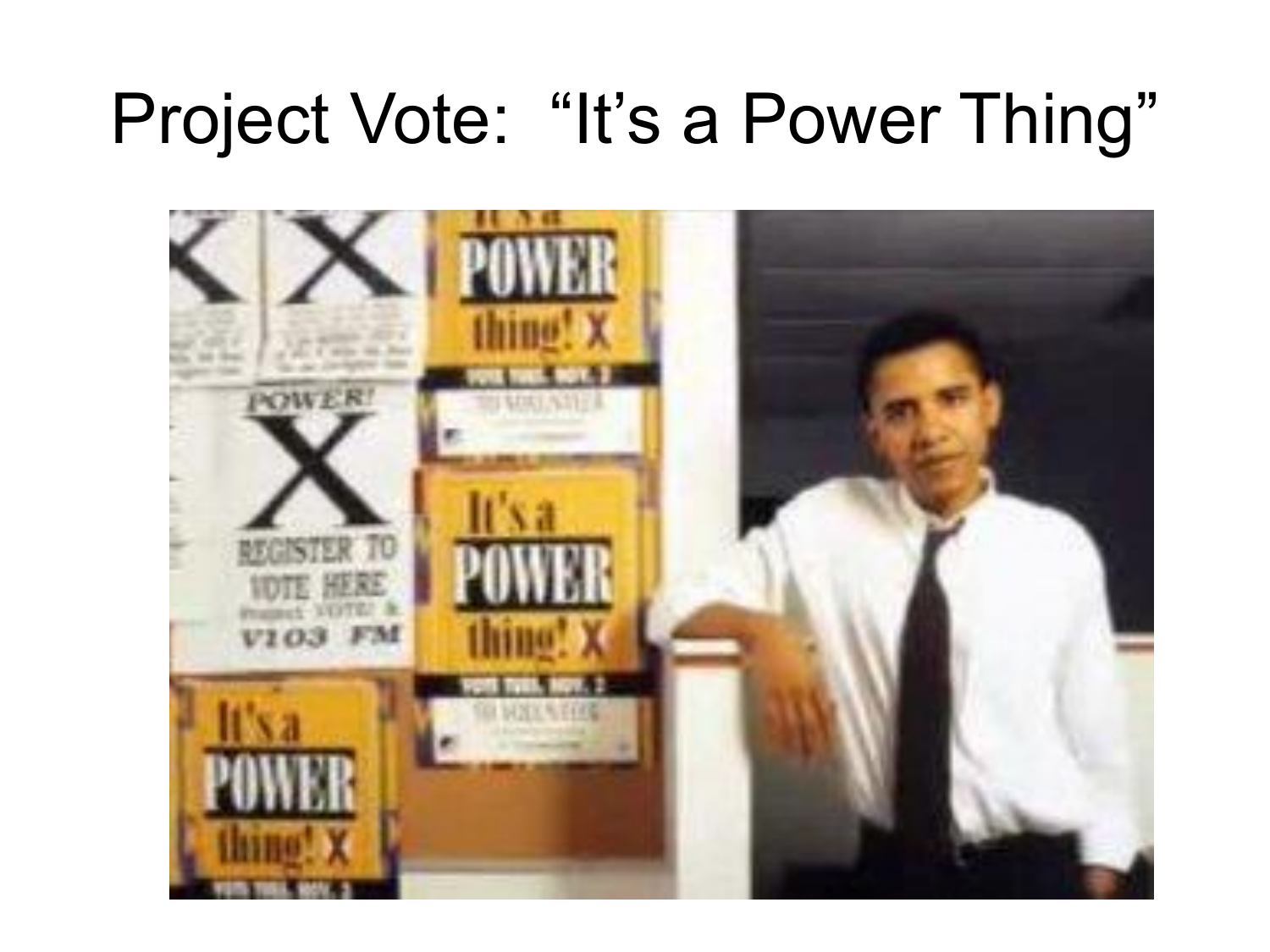#### Project Vote: "It's a Power Thing"

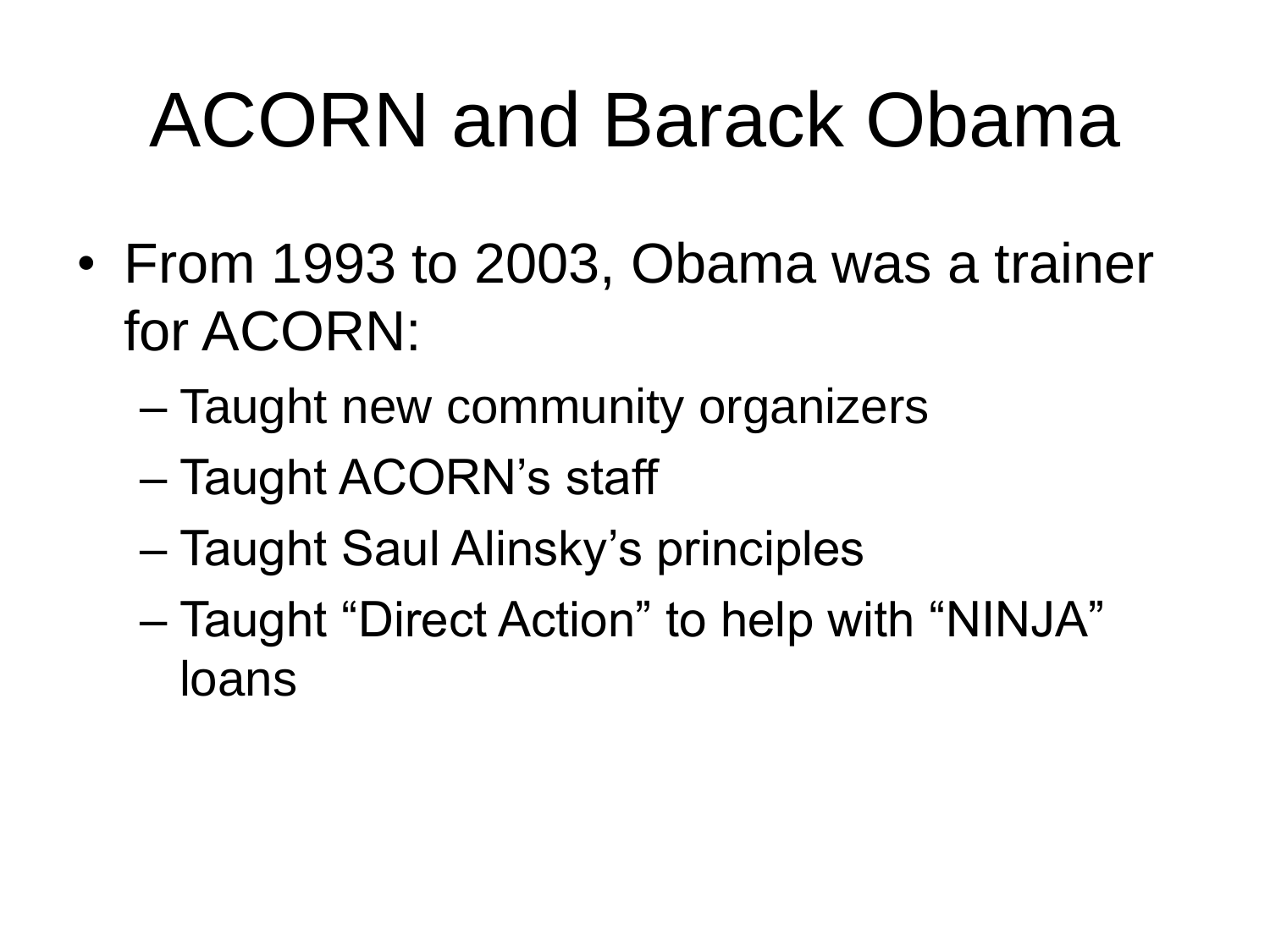- From 1993 to 2003, Obama was a trainer for ACORN:
	- Taught new community organizers
	- Taught ACORN's staff
	- Taught Saul Alinsky's principles
	- Taught "Direct Action" to help with "NINJA" loans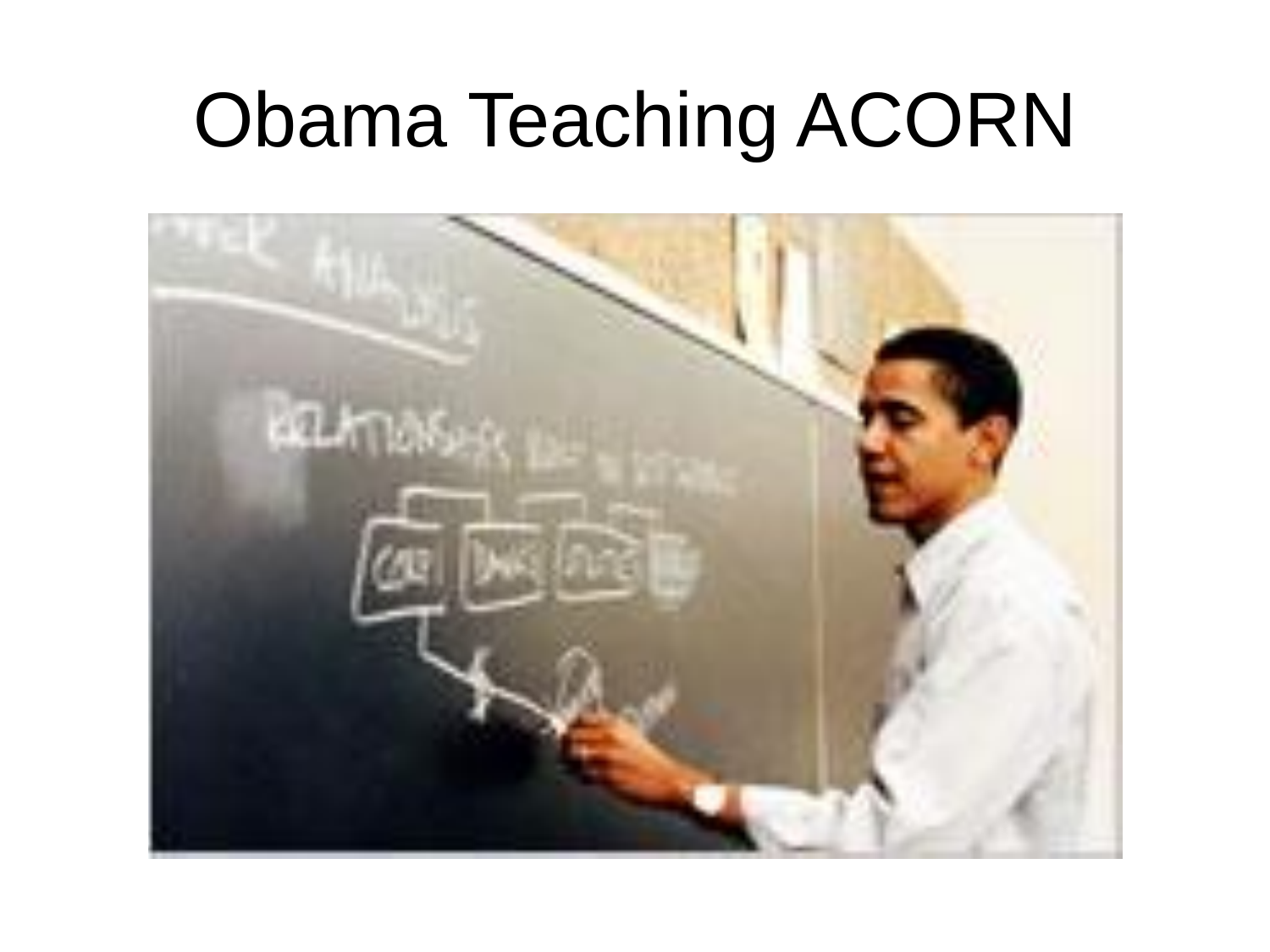### Obama Teaching ACORN

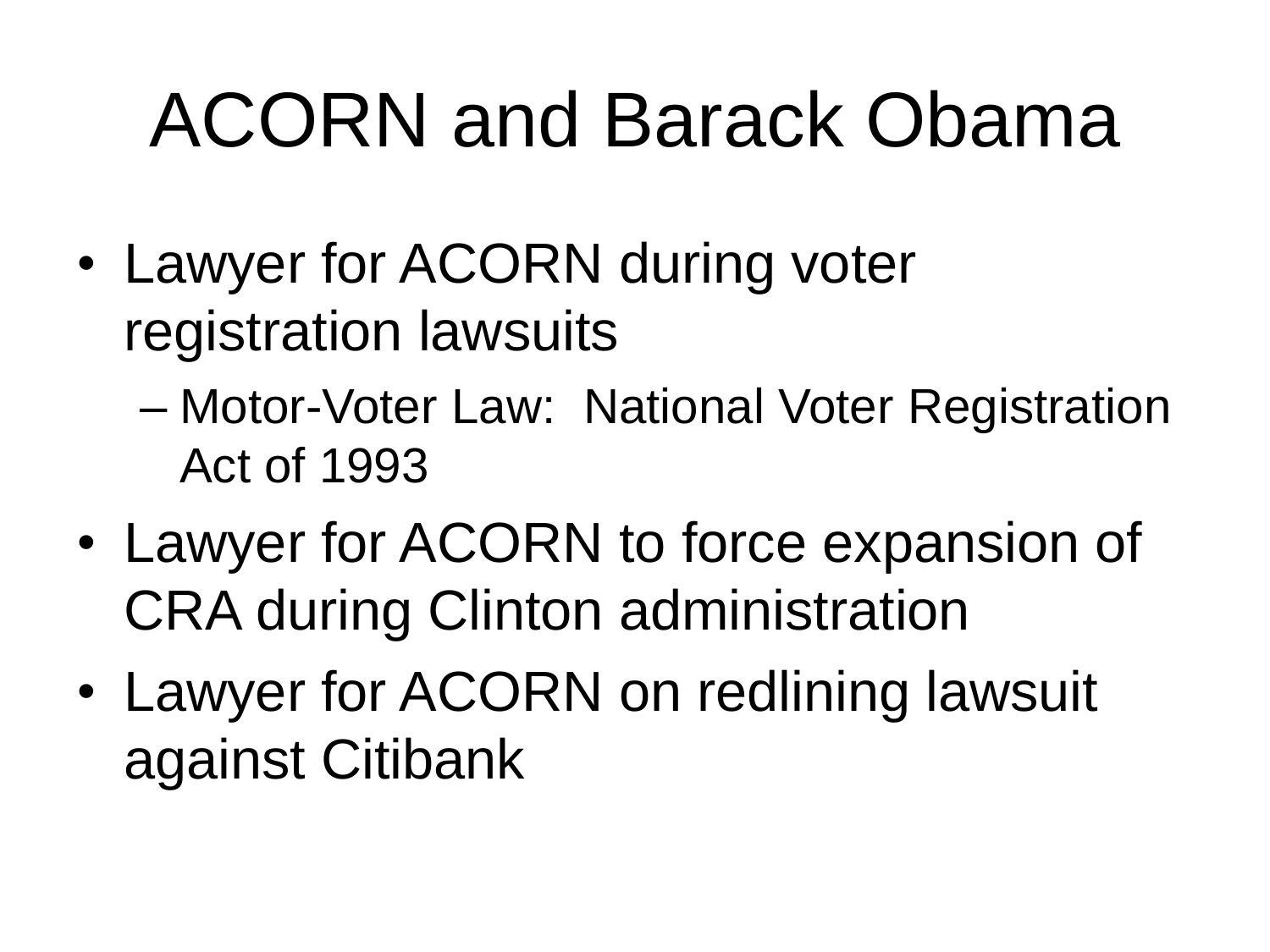- Lawyer for ACORN during voter registration lawsuits
	- Motor-Voter Law: National Voter Registration Act of 1993
- Lawyer for ACORN to force expansion of CRA during Clinton administration
- Lawyer for ACORN on redlining lawsuit against Citibank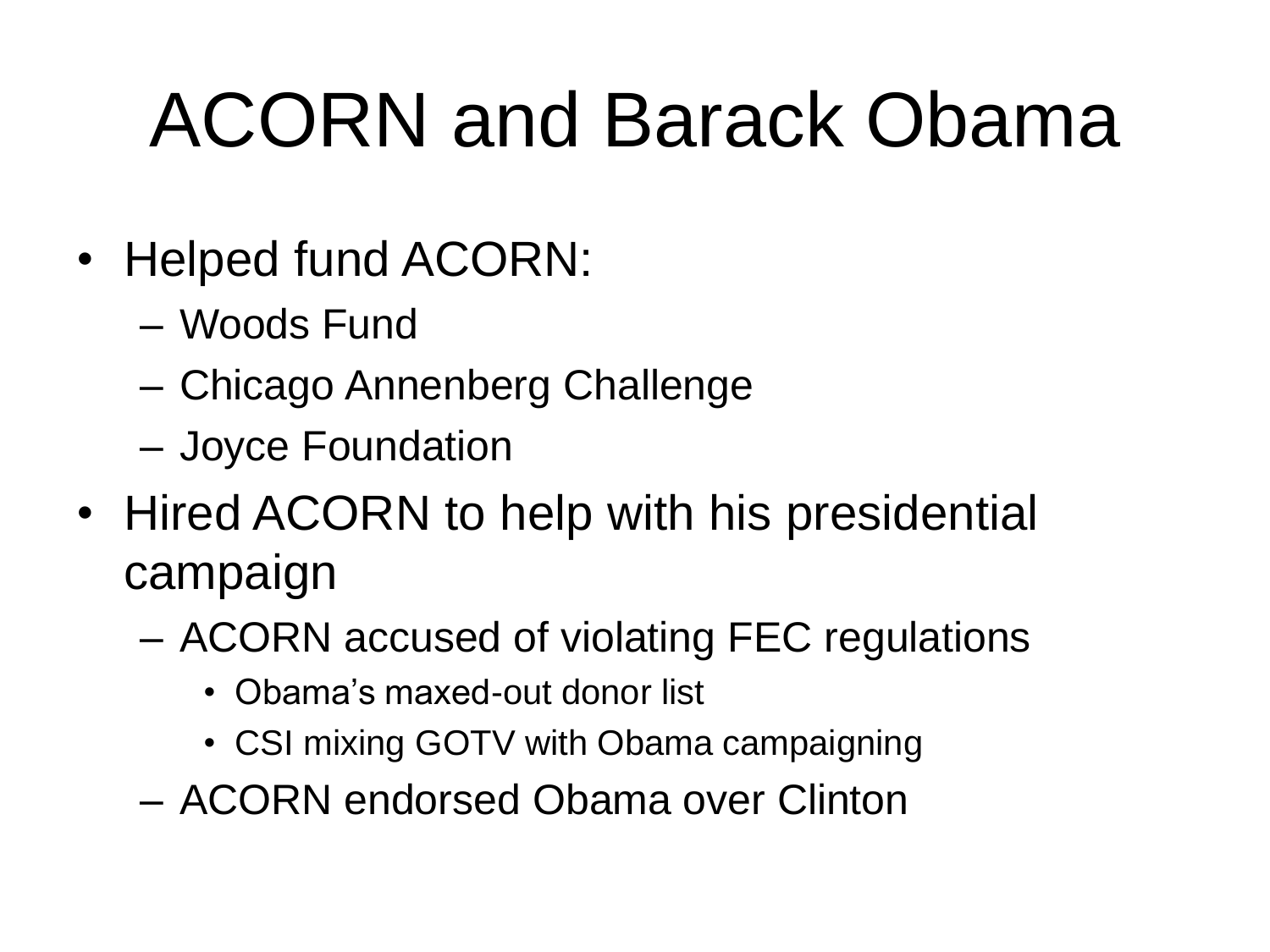- Helped fund ACORN:
	- Woods Fund
	- Chicago Annenberg Challenge
	- Joyce Foundation
- Hired ACORN to help with his presidential campaign
	- ACORN accused of violating FEC regulations
		- Obama's maxed-out donor list
		- CSI mixing GOTV with Obama campaigning
	- ACORN endorsed Obama over Clinton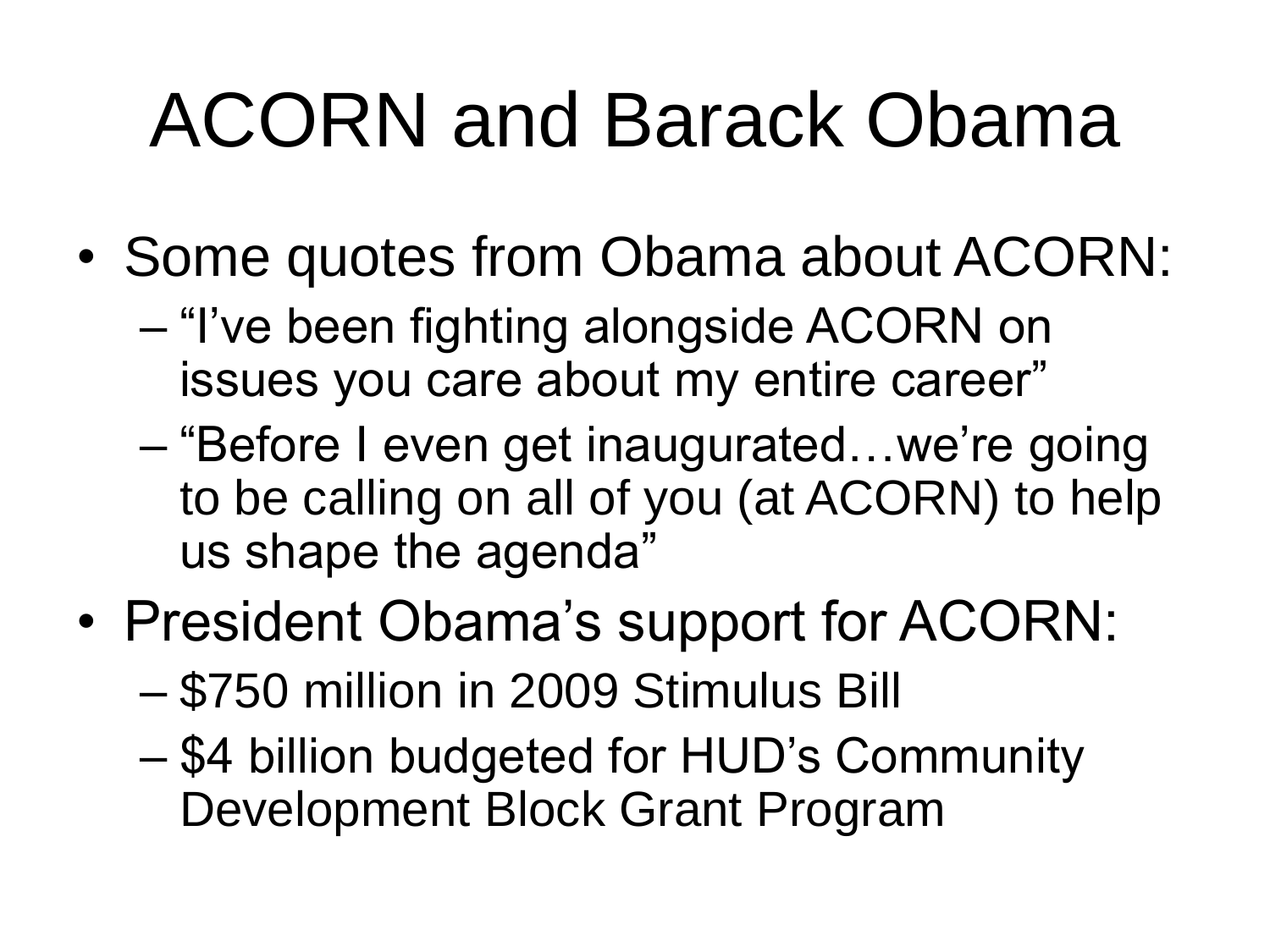- Some quotes from Obama about ACORN:
	- "I've been fighting alongside ACORN on issues you care about my entire career"
	- "Before I even get inaugurated…we're going to be calling on all of you (at ACORN) to help us shape the agenda"
- President Obama's support for ACORN:
	- \$750 million in 2009 Stimulus Bill
	- \$4 billion budgeted for HUD's Community Development Block Grant Program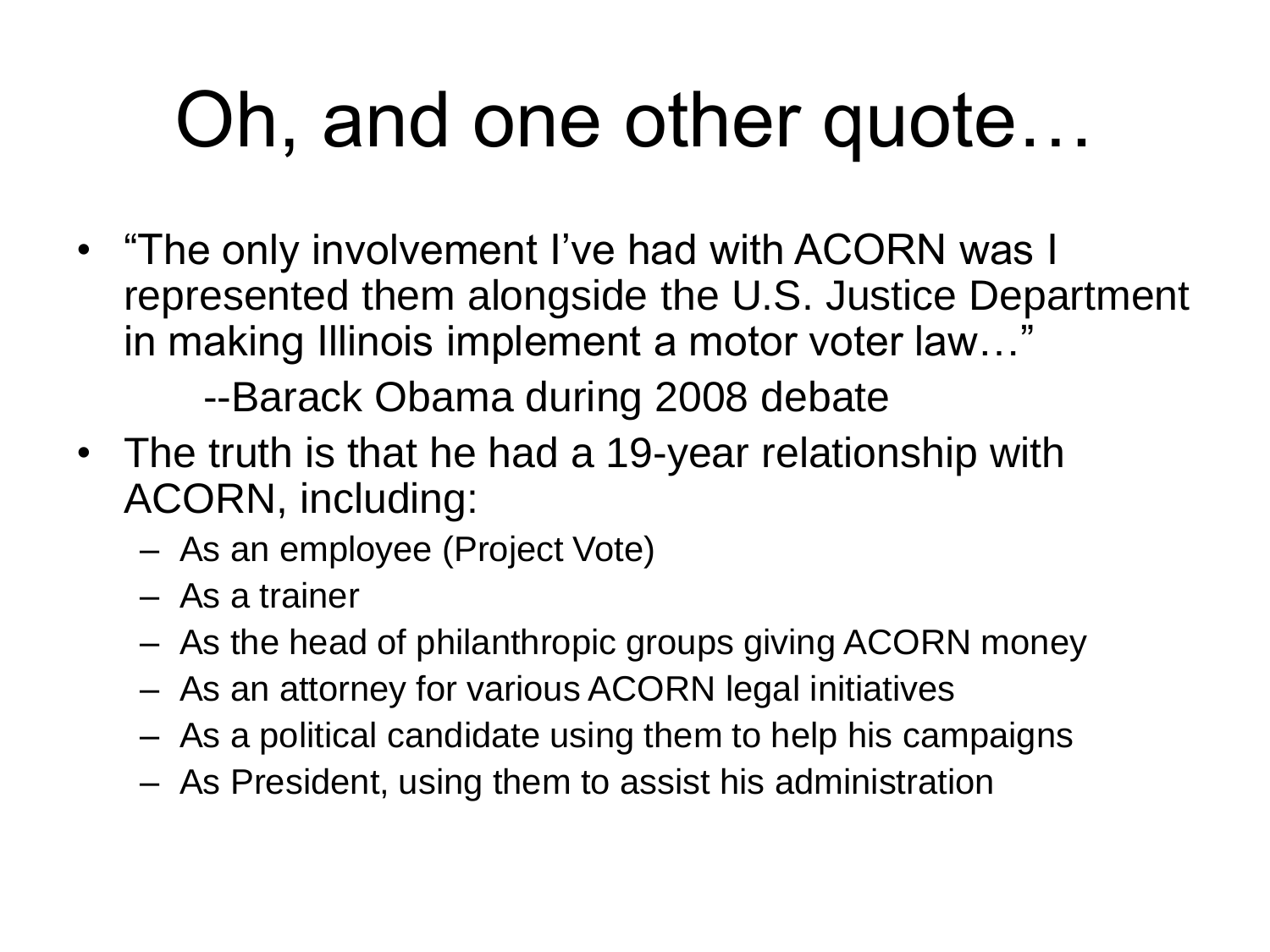### Oh, and one other quote…

• "The only involvement I've had with ACORN was I represented them alongside the U.S. Justice Department in making Illinois implement a motor voter law…"

--Barack Obama during 2008 debate

- The truth is that he had a 19-year relationship with ACORN, including:
	- As an employee (Project Vote)
	- As a trainer
	- As the head of philanthropic groups giving ACORN money
	- As an attorney for various ACORN legal initiatives
	- As a political candidate using them to help his campaigns
	- As President, using them to assist his administration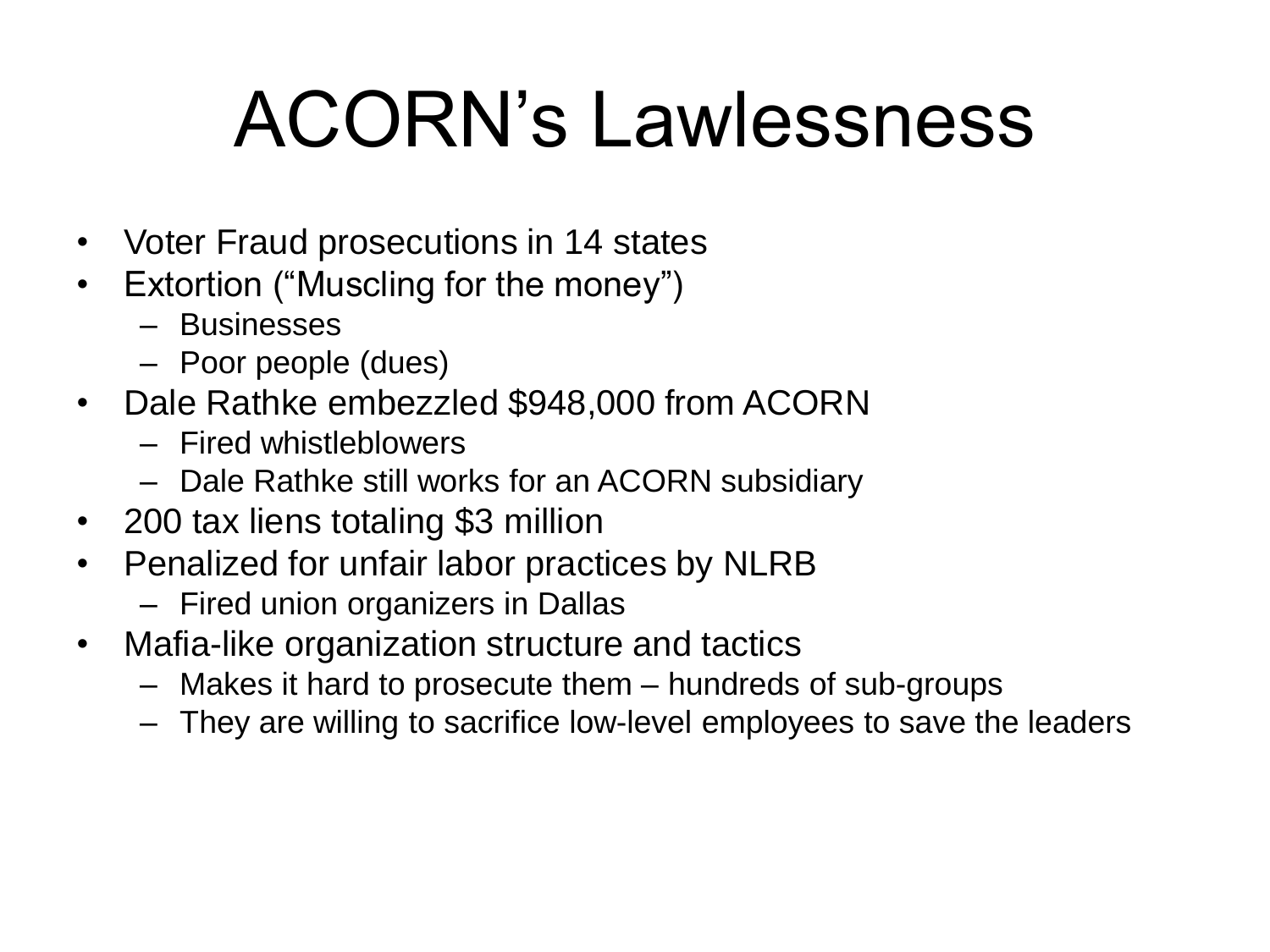### ACORN's Lawlessness

- Voter Fraud prosecutions in 14 states
- Extortion ("Muscling for the money")
	- Businesses
	- Poor people (dues)
- Dale Rathke embezzled \$948,000 from ACORN
	- Fired whistleblowers
	- Dale Rathke still works for an ACORN subsidiary
- 200 tax liens totaling \$3 million
- Penalized for unfair labor practices by NLRB
	- Fired union organizers in Dallas
- Mafia-like organization structure and tactics
	- Makes it hard to prosecute them hundreds of sub-groups
	- They are willing to sacrifice low-level employees to save the leaders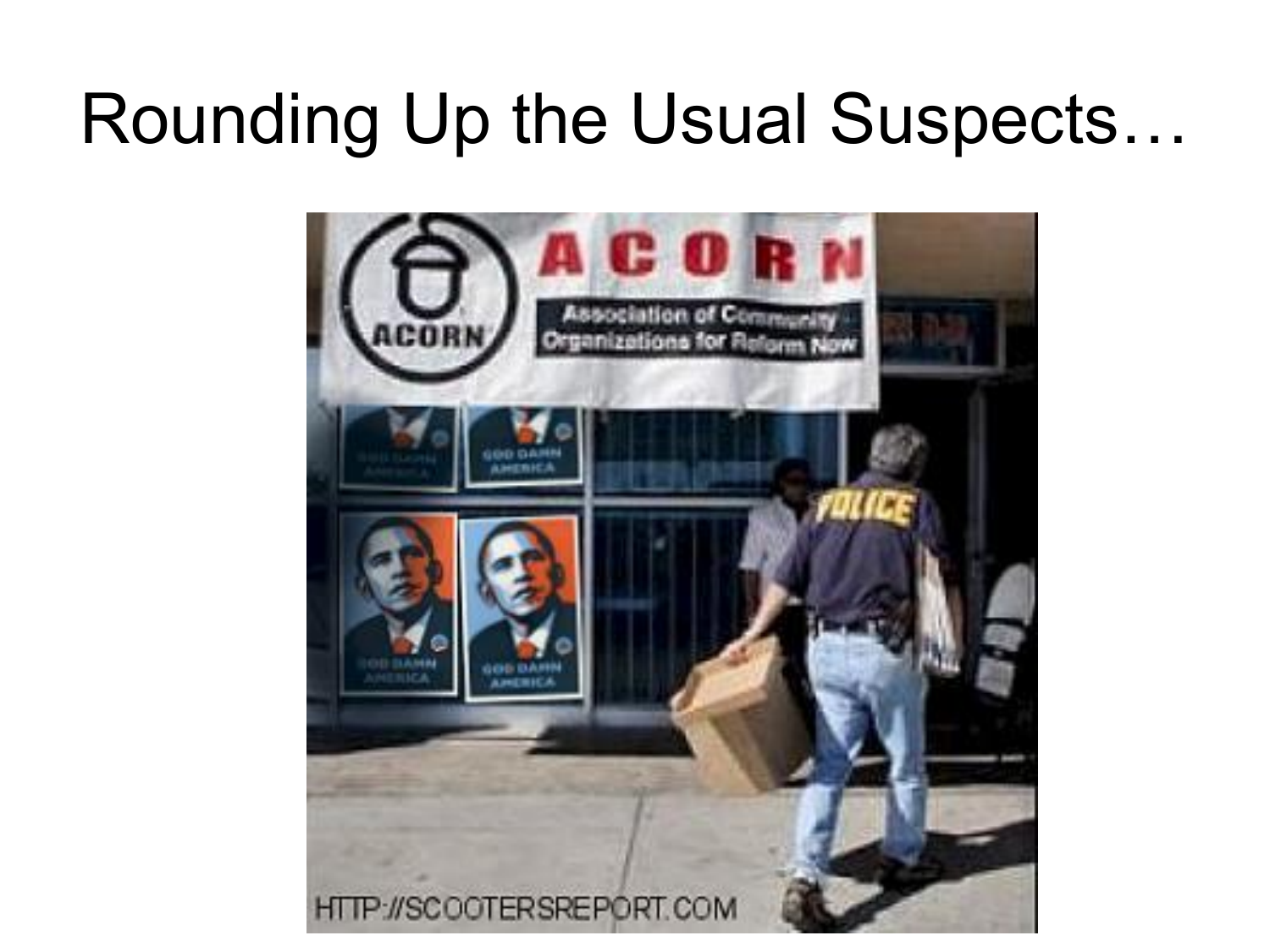### Rounding Up the Usual Suspects…

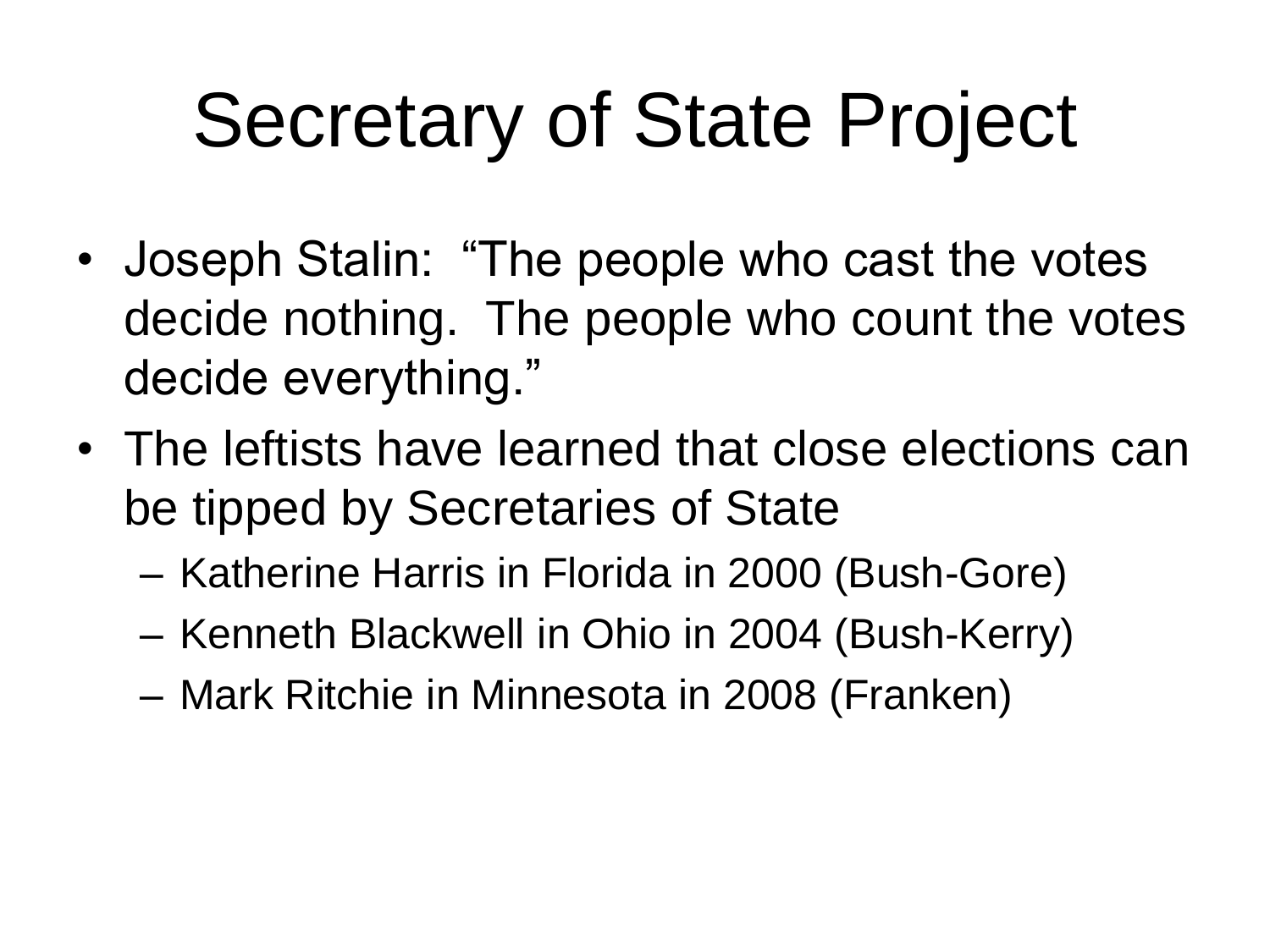# Secretary of State Project

- Joseph Stalin: "The people who cast the votes decide nothing. The people who count the votes decide everything."
- The leftists have learned that close elections can be tipped by Secretaries of State
	- Katherine Harris in Florida in 2000 (Bush-Gore)
	- Kenneth Blackwell in Ohio in 2004 (Bush-Kerry)
	- Mark Ritchie in Minnesota in 2008 (Franken)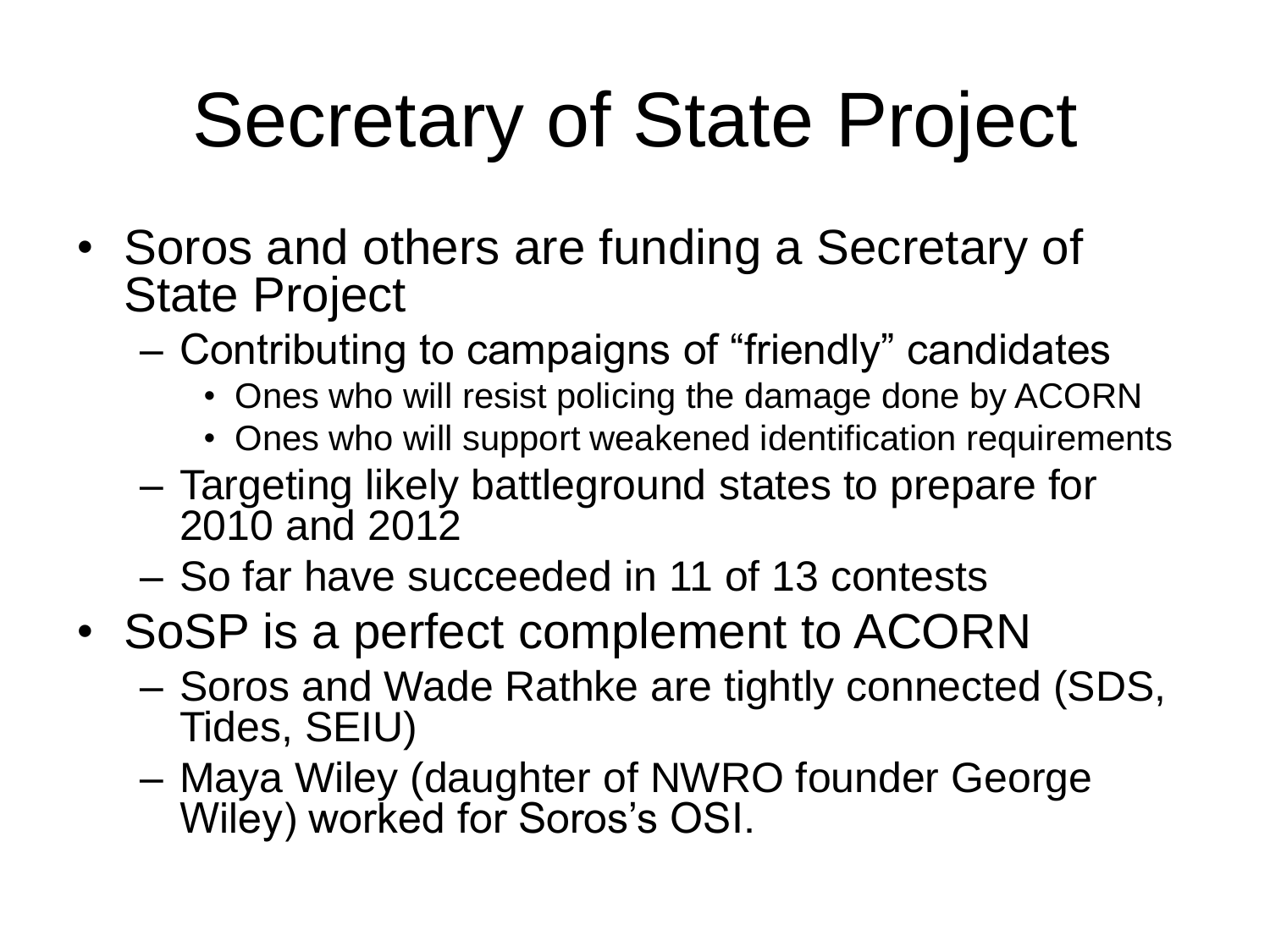# Secretary of State Project

- Soros and others are funding a Secretary of State Project
	- Contributing to campaigns of "friendly" candidates
		- Ones who will resist policing the damage done by ACORN
		- Ones who will support weakened identification requirements
	- Targeting likely battleground states to prepare for 2010 and 2012
	- So far have succeeded in 11 of 13 contests
- SoSP is a perfect complement to ACORN
	- Soros and Wade Rathke are tightly connected (SDS, Tides, SEIU)
	- Maya Wiley (daughter of NWRO founder George Wiley) worked for Soros's OSI.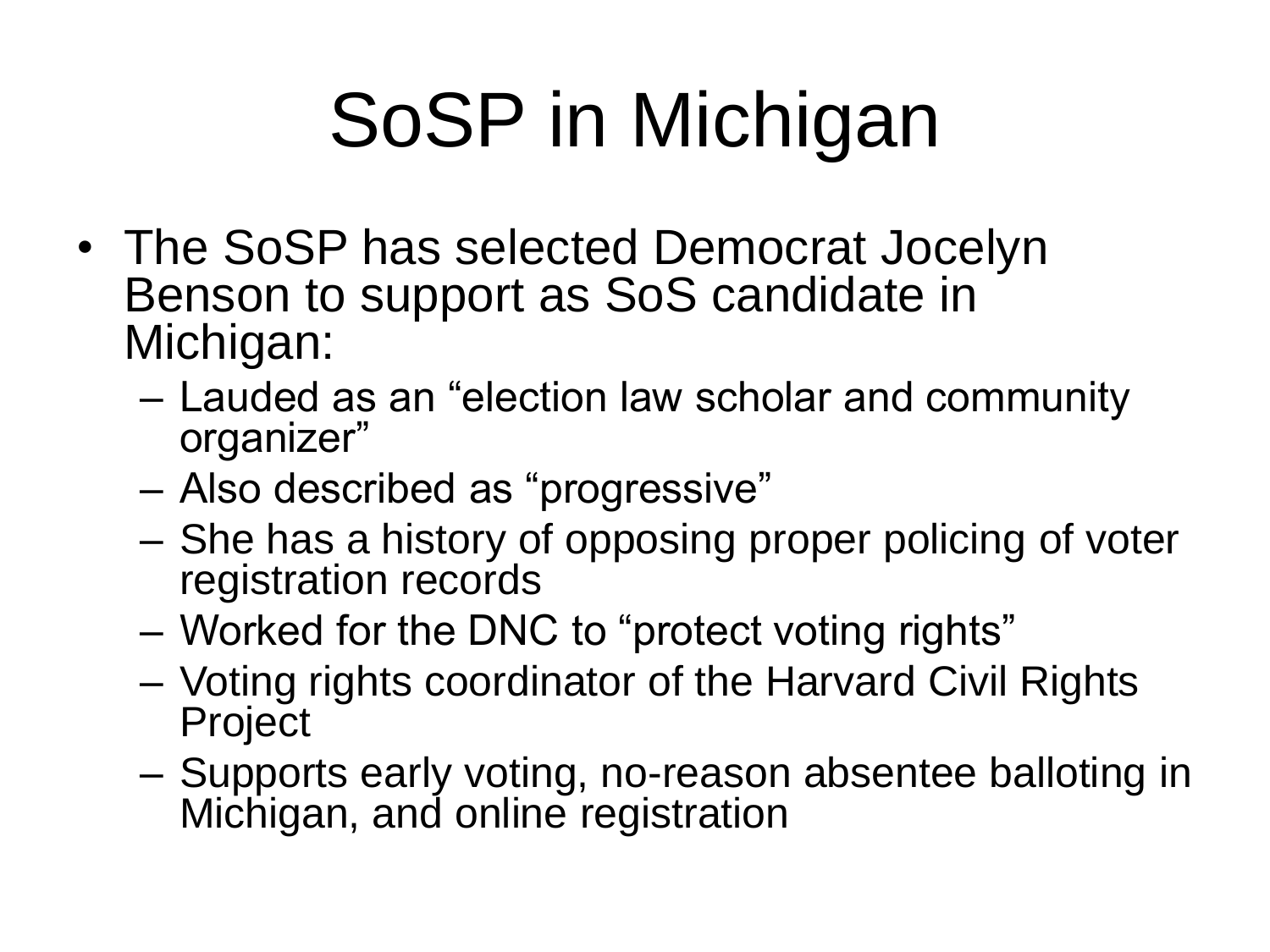# SoSP in Michigan

- The SoSP has selected Democrat Jocelyn Benson to support as SoS candidate in Michigan:
	- Lauded as an "election law scholar and community organizer"
	- Also described as "progressive"
	- She has a history of opposing proper policing of voter registration records
	- Worked for the DNC to "protect voting rights"
	- Voting rights coordinator of the Harvard Civil Rights Project
	- Supports early voting, no-reason absentee balloting in Michigan, and online registration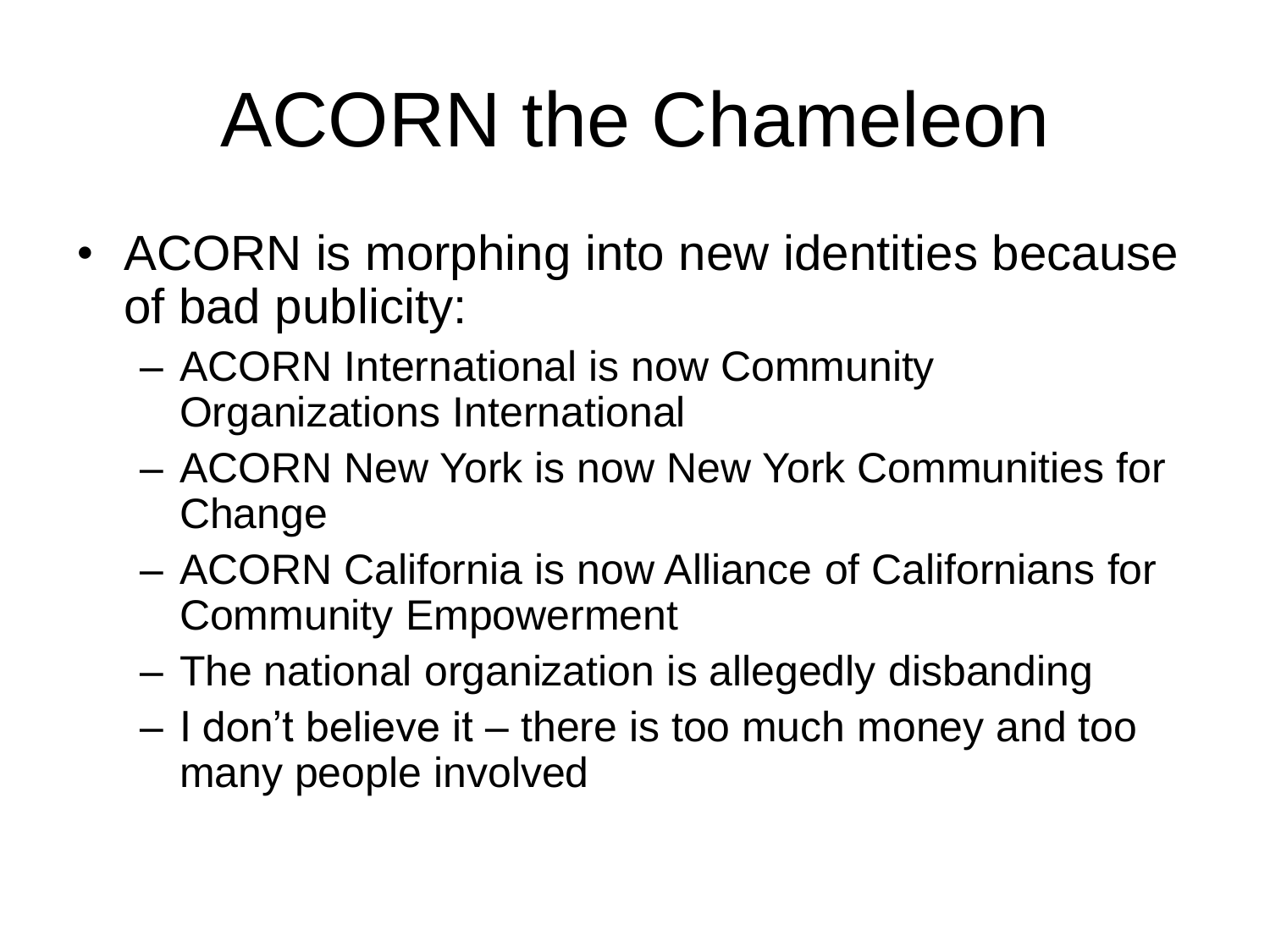# ACORN the Chameleon

- ACORN is morphing into new identities because of bad publicity:
	- ACORN International is now Community Organizations International
	- ACORN New York is now New York Communities for Change
	- ACORN California is now Alliance of Californians for Community Empowerment
	- The national organization is allegedly disbanding
	- I don't believe it there is too much money and too many people involved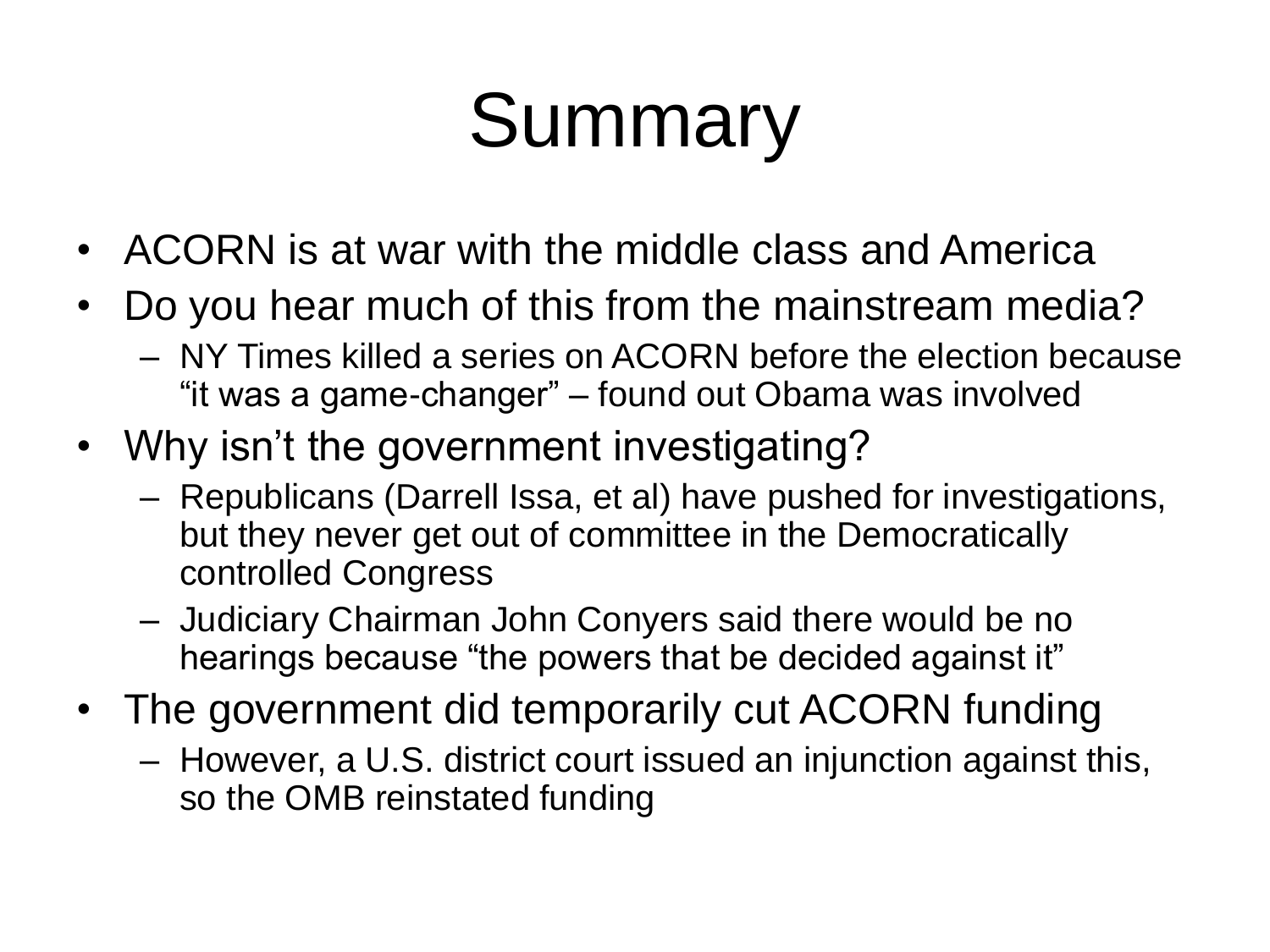# Summary

- ACORN is at war with the middle class and America
- Do you hear much of this from the mainstream media? – NY Times killed a series on ACORN before the election because "it was a game-changer" – found out Obama was involved
- Why isn't the government investigating?
	- Republicans (Darrell Issa, et al) have pushed for investigations, but they never get out of committee in the Democratically controlled Congress
	- Judiciary Chairman John Conyers said there would be no hearings because "the powers that be decided against it"
- The government did temporarily cut ACORN funding
	- However, a U.S. district court issued an injunction against this, so the OMB reinstated funding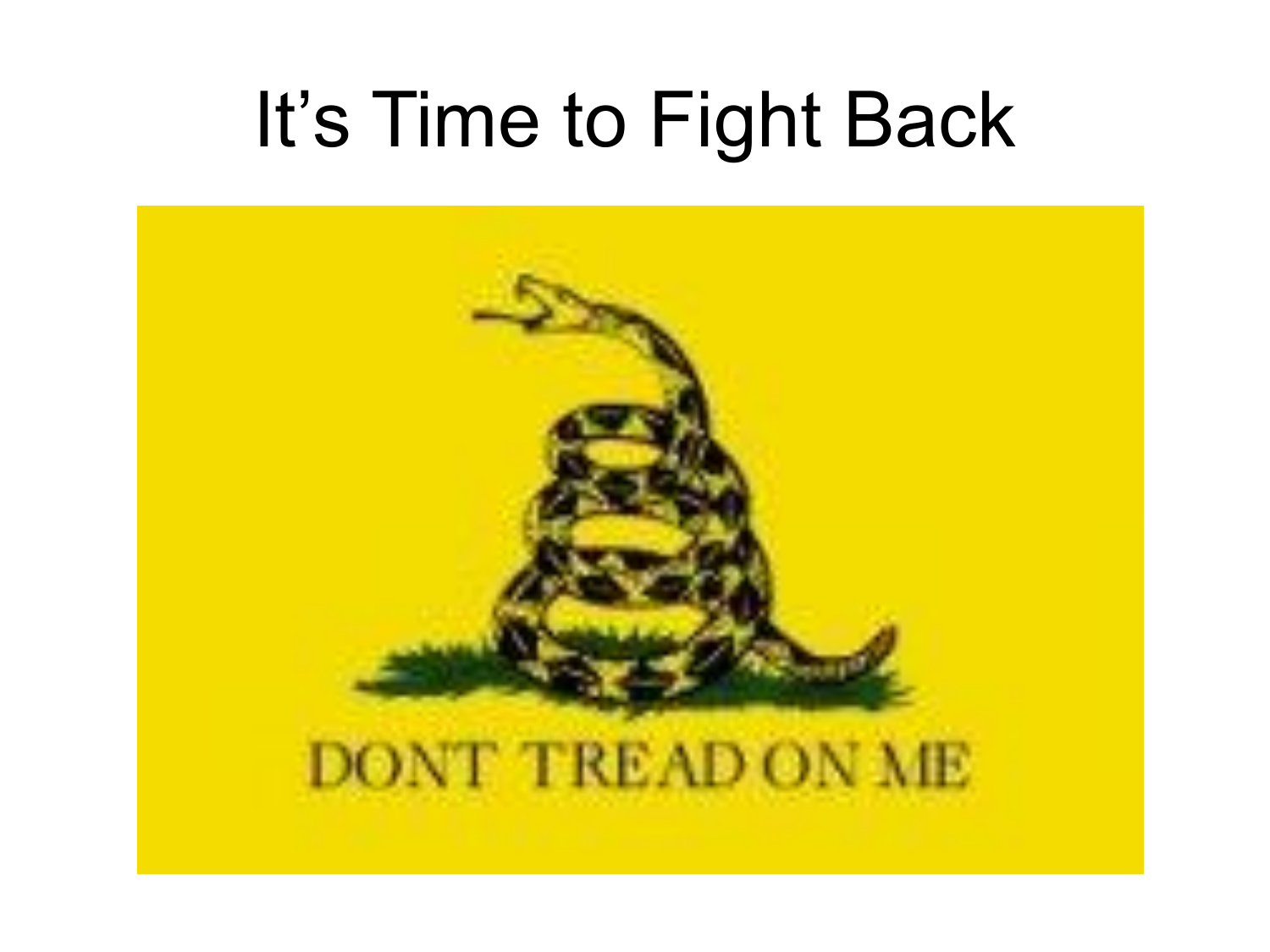### It's Time to Fight Back

![](_page_36_Picture_1.jpeg)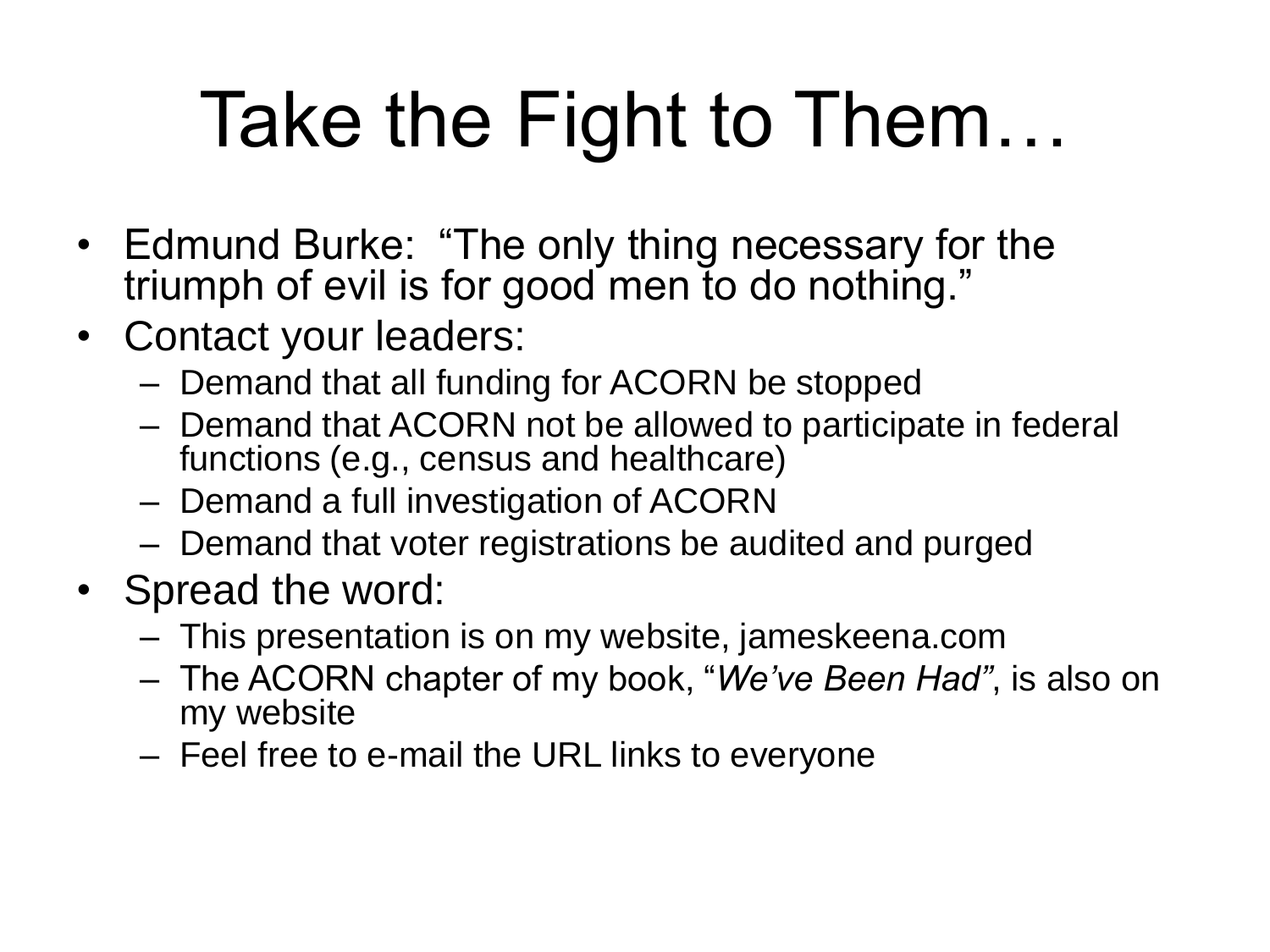# Take the Fight to Them…

- Edmund Burke: "The only thing necessary for the triumph of evil is for good men to do nothing."
- Contact your leaders:
	- Demand that all funding for ACORN be stopped
	- Demand that ACORN not be allowed to participate in federal functions (e.g., census and healthcare)
	- Demand a full investigation of ACORN
	- Demand that voter registrations be audited and purged
- Spread the word:
	- This presentation is on my website, jameskeena.com
	- The ACORN chapter of my book, "*We've Been Had"*, is also on my website
	- Feel free to e-mail the URL links to everyone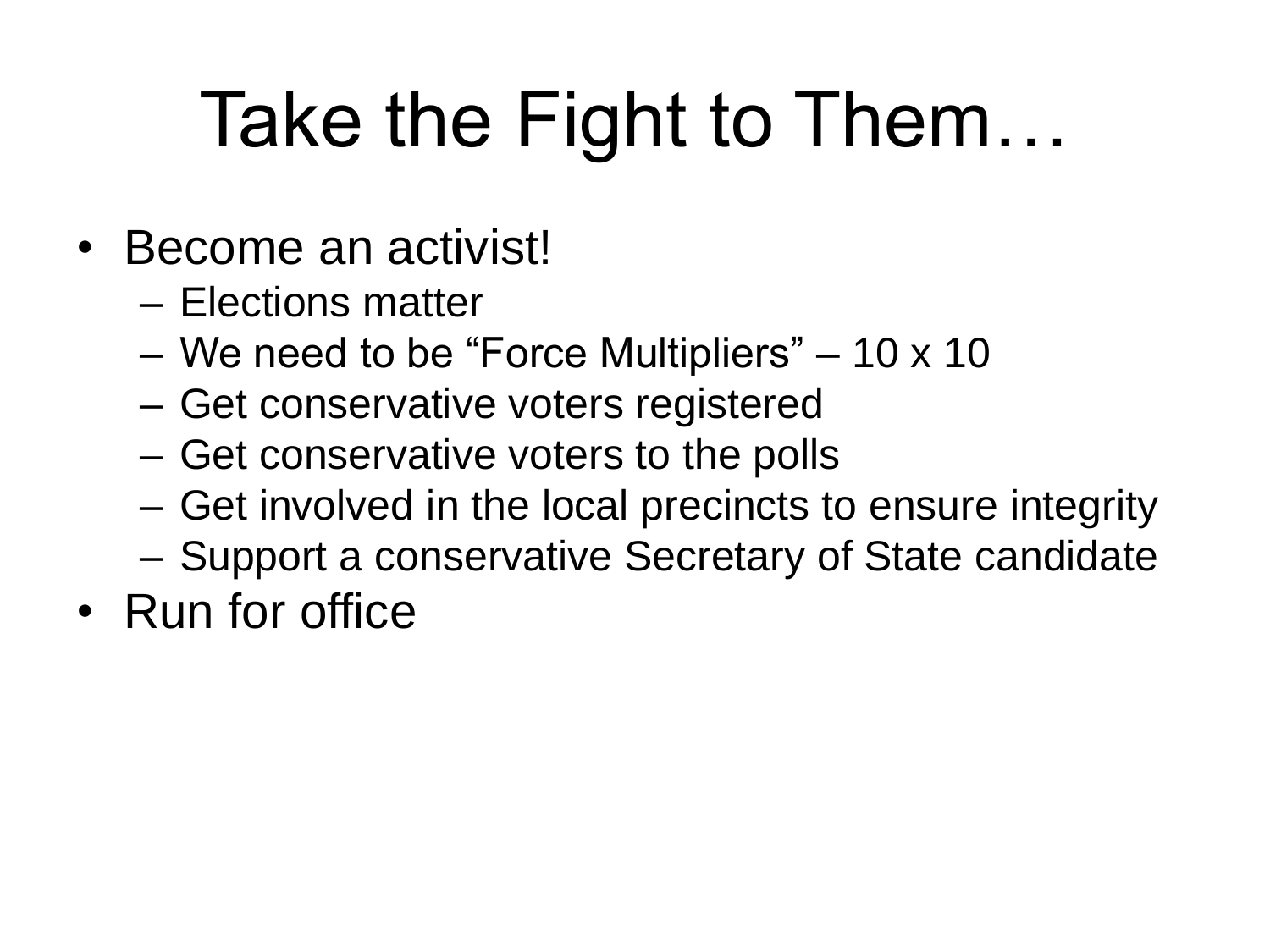### Take the Fight to Them…

- Become an activist!
	- Elections matter
	- We need to be "Force Multipliers" 10 x 10
	- Get conservative voters registered
	- Get conservative voters to the polls
	- Get involved in the local precincts to ensure integrity
	- Support a conservative Secretary of State candidate
- Run for office